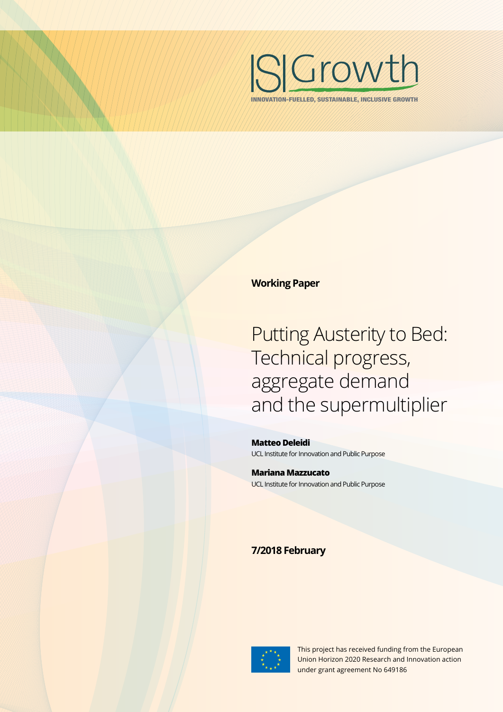

INNOVATION-FUELLED, SUSTAINABLE, INCLUSIVE GROWTH

#### **Working Paper**

Putting Austerity to Bed: Technical progress, aggregate demand and the supermultiplier

**Matteo Deleidi** UCL Institute for Innovation and Public Purpose

**Mariana Mazzucato** UCL Institute for Innovation and Public Purpose

### **7/2018 February**



This project has received funding from the European Union Horizon 2020 Research and Innovation action under grant agreement No 649186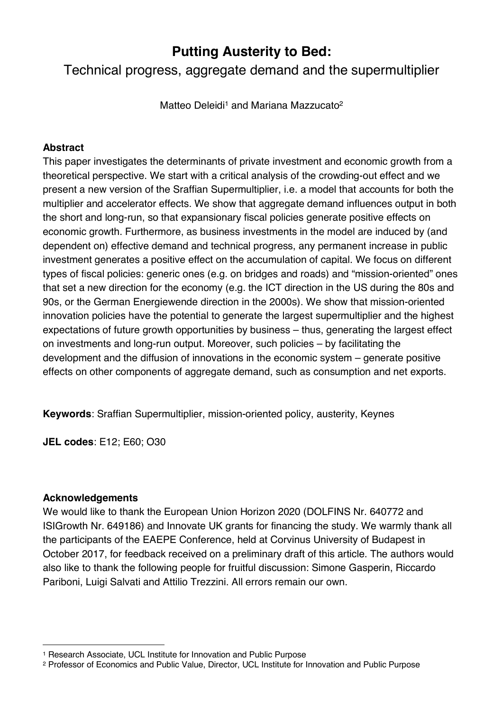# **Putting Austerity to Bed:**

Technical progress, aggregate demand and the supermultiplier

Matteo Deleidi<sup>1</sup> and Mariana Mazzucato<sup>2</sup>

### **Abstract**

This paper investigates the determinants of private investment and economic growth from a theoretical perspective. We start with a critical analysis of the crowding-out effect and we present a new version of the Sraffian Supermultiplier, i.e. a model that accounts for both the multiplier and accelerator effects. We show that aggregate demand influences output in both the short and long-run, so that expansionary fiscal policies generate positive effects on economic growth. Furthermore, as business investments in the model are induced by (and dependent on) effective demand and technical progress, any permanent increase in public investment generates a positive effect on the accumulation of capital. We focus on different types of fiscal policies: generic ones (e.g. on bridges and roads) and "mission-oriented" ones that set a new direction for the economy (e.g. the ICT direction in the US during the 80s and 90s, or the German Energiewende direction in the 2000s). We show that mission-oriented innovation policies have the potential to generate the largest supermultiplier and the highest expectations of future growth opportunities by business – thus, generating the largest effect on investments and long-run output. Moreover, such policies – by facilitating the development and the diffusion of innovations in the economic system – generate positive effects on other components of aggregate demand, such as consumption and net exports.

**Keywords**: Sraffian Supermultiplier, mission-oriented policy, austerity, Keynes

**JEL codes**: E12; E60; O30

#### **Acknowledgements**

<u>.</u>

We would like to thank the European Union Horizon 2020 (DOLFINS Nr. 640772 and ISIGrowth Nr. 649186) and Innovate UK grants for financing the study. We warmly thank all the participants of the EAEPE Conference, held at Corvinus University of Budapest in October 2017, for feedback received on a preliminary draft of this article. The authors would also like to thank the following people for fruitful discussion: Simone Gasperin, Riccardo Pariboni, Luigi Salvati and Attilio Trezzini. All errors remain our own.

<sup>1</sup> Research Associate, UCL Institute for Innovation and Public Purpose

<sup>2</sup> Professor of Economics and Public Value, Director, UCL Institute for Innovation and Public Purpose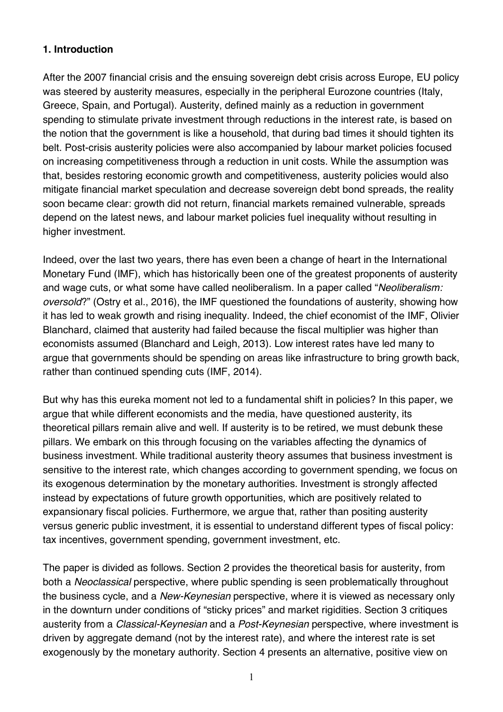### **1. Introduction**

After the 2007 financial crisis and the ensuing sovereign debt crisis across Europe, EU policy was steered by austerity measures, especially in the peripheral Eurozone countries (Italy, Greece, Spain, and Portugal). Austerity, defined mainly as a reduction in government spending to stimulate private investment through reductions in the interest rate, is based on the notion that the government is like a household, that during bad times it should tighten its belt. Post-crisis austerity policies were also accompanied by labour market policies focused on increasing competitiveness through a reduction in unit costs. While the assumption was that, besides restoring economic growth and competitiveness, austerity policies would also mitigate financial market speculation and decrease sovereign debt bond spreads, the reality soon became clear: growth did not return, financial markets remained vulnerable, spreads depend on the latest news, and labour market policies fuel inequality without resulting in higher investment.

Indeed, over the last two years, there has even been a change of heart in the International Monetary Fund (IMF), which has historically been one of the greatest proponents of austerity and wage cuts, or what some have called neoliberalism. In a paper called "*Neoliberalism: oversold*?" (Ostry et al., 2016), the IMF questioned the foundations of austerity, showing how it has led to weak growth and rising inequality. Indeed, the chief economist of the IMF, Olivier Blanchard, claimed that austerity had failed because the fiscal multiplier was higher than economists assumed (Blanchard and Leigh, 2013). Low interest rates have led many to argue that governments should be spending on areas like infrastructure to bring growth back, rather than continued spending cuts (IMF, 2014).

But why has this eureka moment not led to a fundamental shift in policies? In this paper, we argue that while different economists and the media, have questioned austerity, its theoretical pillars remain alive and well. If austerity is to be retired, we must debunk these pillars. We embark on this through focusing on the variables affecting the dynamics of business investment. While traditional austerity theory assumes that business investment is sensitive to the interest rate, which changes according to government spending, we focus on its exogenous determination by the monetary authorities. Investment is strongly affected instead by expectations of future growth opportunities, which are positively related to expansionary fiscal policies. Furthermore, we argue that, rather than positing austerity versus generic public investment, it is essential to understand different types of fiscal policy: tax incentives, government spending, government investment, etc.

The paper is divided as follows. Section 2 provides the theoretical basis for austerity, from both a *Neoclassical* perspective, where public spending is seen problematically throughout the business cycle, and a *New-Keynesian* perspective, where it is viewed as necessary only in the downturn under conditions of "sticky prices" and market rigidities. Section 3 critiques austerity from a *Classical-Keynesian* and a *Post-Keynesian* perspective, where investment is driven by aggregate demand (not by the interest rate), and where the interest rate is set exogenously by the monetary authority. Section 4 presents an alternative, positive view on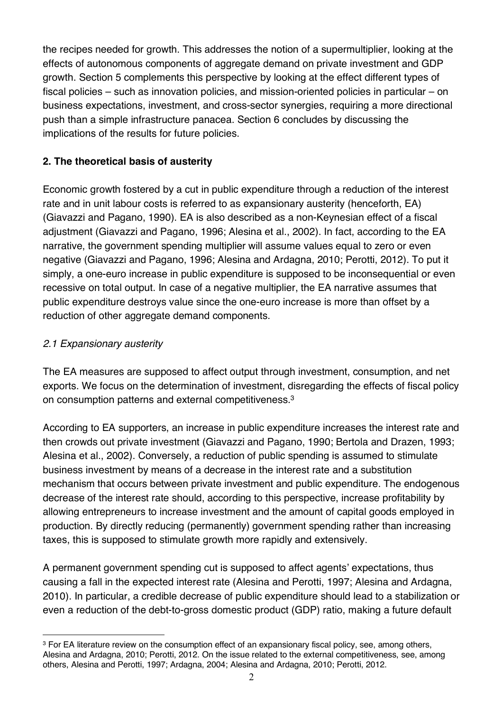the recipes needed for growth. This addresses the notion of a supermultiplier, looking at the effects of autonomous components of aggregate demand on private investment and GDP growth. Section 5 complements this perspective by looking at the effect different types of fiscal policies – such as innovation policies, and mission-oriented policies in particular – on business expectations, investment, and cross-sector synergies, requiring a more directional push than a simple infrastructure panacea. Section 6 concludes by discussing the implications of the results for future policies.

# **2. The theoretical basis of austerity**

Economic growth fostered by a cut in public expenditure through a reduction of the interest rate and in unit labour costs is referred to as expansionary austerity (henceforth, EA) (Giavazzi and Pagano, 1990). EA is also described as a non-Keynesian effect of a fiscal adjustment (Giavazzi and Pagano, 1996; Alesina et al., 2002). In fact, according to the EA narrative, the government spending multiplier will assume values equal to zero or even negative (Giavazzi and Pagano, 1996; Alesina and Ardagna, 2010; Perotti, 2012). To put it simply, a one-euro increase in public expenditure is supposed to be inconsequential or even recessive on total output. In case of a negative multiplier, the EA narrative assumes that public expenditure destroys value since the one-euro increase is more than offset by a reduction of other aggregate demand components.

# *2.1 Expansionary austerity*

The EA measures are supposed to affect output through investment, consumption, and net exports. We focus on the determination of investment, disregarding the effects of fiscal policy on consumption patterns and external competitiveness.3

According to EA supporters, an increase in public expenditure increases the interest rate and then crowds out private investment (Giavazzi and Pagano, 1990; Bertola and Drazen, 1993; Alesina et al., 2002). Conversely, a reduction of public spending is assumed to stimulate business investment by means of a decrease in the interest rate and a substitution mechanism that occurs between private investment and public expenditure. The endogenous decrease of the interest rate should, according to this perspective, increase profitability by allowing entrepreneurs to increase investment and the amount of capital goods employed in production. By directly reducing (permanently) government spending rather than increasing taxes, this is supposed to stimulate growth more rapidly and extensively.

A permanent government spending cut is supposed to affect agents' expectations, thus causing a fall in the expected interest rate (Alesina and Perotti, 1997; Alesina and Ardagna, 2010). In particular, a credible decrease of public expenditure should lead to a stabilization or even a reduction of the debt-to-gross domestic product (GDP) ratio, making a future default

<sup>&</sup>lt;u>.</u> <sup>3</sup> For EA literature review on the consumption effect of an expansionary fiscal policy, see, among others, Alesina and Ardagna, 2010; Perotti, 2012. On the issue related to the external competitiveness, see, among others, Alesina and Perotti, 1997; Ardagna, 2004; Alesina and Ardagna, 2010; Perotti, 2012.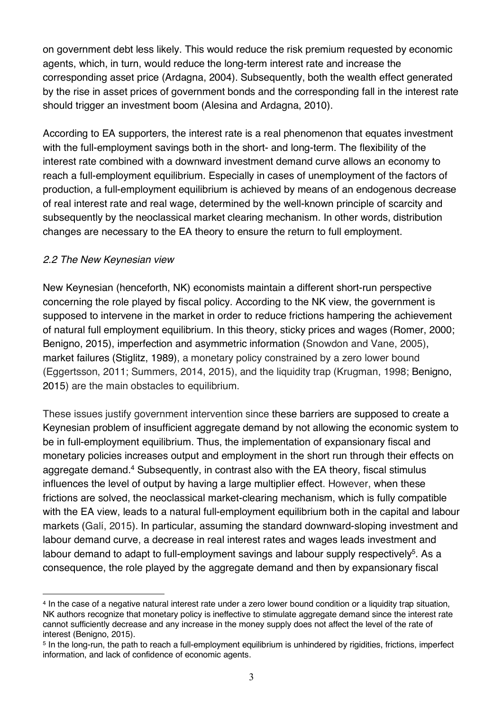on government debt less likely. This would reduce the risk premium requested by economic agents, which, in turn, would reduce the long-term interest rate and increase the corresponding asset price (Ardagna, 2004). Subsequently, both the wealth effect generated by the rise in asset prices of government bonds and the corresponding fall in the interest rate should trigger an investment boom (Alesina and Ardagna, 2010).

According to EA supporters, the interest rate is a real phenomenon that equates investment with the full-employment savings both in the short- and long-term. The flexibility of the interest rate combined with a downward investment demand curve allows an economy to reach a full-employment equilibrium. Especially in cases of unemployment of the factors of production, a full-employment equilibrium is achieved by means of an endogenous decrease of real interest rate and real wage, determined by the well-known principle of scarcity and subsequently by the neoclassical market clearing mechanism. In other words, distribution changes are necessary to the EA theory to ensure the return to full employment.

#### *2.2 The New Keynesian view*

New Keynesian (henceforth, NK) economists maintain a different short-run perspective concerning the role played by fiscal policy. According to the NK view, the government is supposed to intervene in the market in order to reduce frictions hampering the achievement of natural full employment equilibrium. In this theory, sticky prices and wages (Romer, 2000; Benigno, 2015), imperfection and asymmetric information (Snowdon and Vane, 2005), market failures (Stiglitz, 1989), a monetary policy constrained by a zero lower bound (Eggertsson, 2011; Summers, 2014, 2015), and the liquidity trap (Krugman, 1998; Benigno, 2015) are the main obstacles to equilibrium.

These issues justify government intervention since these barriers are supposed to create a Keynesian problem of insufficient aggregate demand by not allowing the economic system to be in full-employment equilibrium. Thus, the implementation of expansionary fiscal and monetary policies increases output and employment in the short run through their effects on aggregate demand.4 Subsequently, in contrast also with the EA theory, fiscal stimulus influences the level of output by having a large multiplier effect. However, when these frictions are solved, the neoclassical market-clearing mechanism, which is fully compatible with the EA view, leads to a natural full-employment equilibrium both in the capital and labour markets (Galí, 2015). In particular, assuming the standard downward-sloping investment and labour demand curve, a decrease in real interest rates and wages leads investment and labour demand to adapt to full-employment savings and labour supply respectively<sup>5</sup>. As a consequence, the role played by the aggregate demand and then by expansionary fiscal

<sup>&</sup>lt;u>.</u> <sup>4</sup> In the case of a negative natural interest rate under a zero lower bound condition or a liquidity trap situation, NK authors recognize that monetary policy is ineffective to stimulate aggregate demand since the interest rate cannot sufficiently decrease and any increase in the money supply does not affect the level of the rate of interest (Benigno, 2015).

<sup>5</sup> In the long-run, the path to reach a full-employment equilibrium is unhindered by rigidities, frictions, imperfect information, and lack of confidence of economic agents.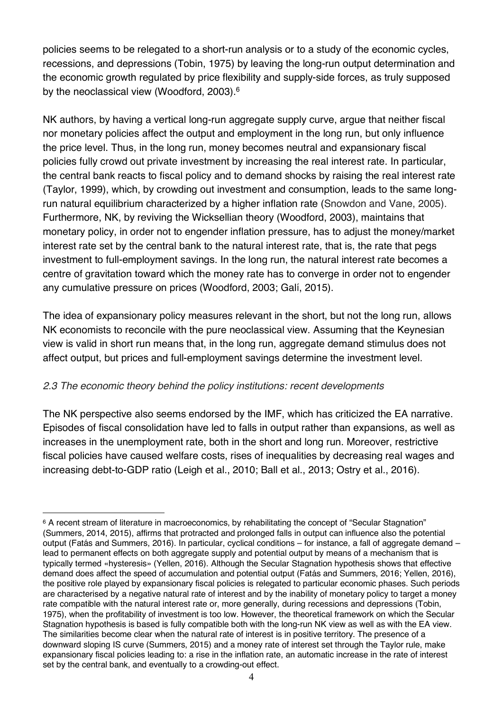policies seems to be relegated to a short-run analysis or to a study of the economic cycles, recessions, and depressions (Tobin, 1975) by leaving the long-run output determination and the economic growth regulated by price flexibility and supply-side forces, as truly supposed by the neoclassical view (Woodford, 2003).<sup>6</sup>

NK authors, by having a vertical long-run aggregate supply curve, argue that neither fiscal nor monetary policies affect the output and employment in the long run, but only influence the price level. Thus, in the long run, money becomes neutral and expansionary fiscal policies fully crowd out private investment by increasing the real interest rate. In particular, the central bank reacts to fiscal policy and to demand shocks by raising the real interest rate (Taylor, 1999), which, by crowding out investment and consumption, leads to the same longrun natural equilibrium characterized by a higher inflation rate (Snowdon and Vane, 2005). Furthermore, NK, by reviving the Wicksellian theory (Woodford, 2003), maintains that monetary policy, in order not to engender inflation pressure, has to adjust the money/market interest rate set by the central bank to the natural interest rate, that is, the rate that pegs investment to full-employment savings. In the long run, the natural interest rate becomes a centre of gravitation toward which the money rate has to converge in order not to engender any cumulative pressure on prices (Woodford, 2003; Galí, 2015).

The idea of expansionary policy measures relevant in the short, but not the long run, allows NK economists to reconcile with the pure neoclassical view. Assuming that the Keynesian view is valid in short run means that, in the long run, aggregate demand stimulus does not affect output, but prices and full-employment savings determine the investment level.

#### *2.3 The economic theory behind the policy institutions: recent developments*

1

The NK perspective also seems endorsed by the IMF, which has criticized the EA narrative. Episodes of fiscal consolidation have led to falls in output rather than expansions, as well as increases in the unemployment rate, both in the short and long run. Moreover, restrictive fiscal policies have caused welfare costs, rises of inequalities by decreasing real wages and increasing debt-to-GDP ratio (Leigh et al., 2010; Ball et al., 2013; Ostry et al., 2016).

<sup>6</sup> A recent stream of literature in macroeconomics, by rehabilitating the concept of "Secular Stagnation" (Summers, 2014, 2015), affirms that protracted and prolonged falls in output can influence also the potential output (Fatás and Summers, 2016). In particular, cyclical conditions – for instance, a fall of aggregate demand – lead to permanent effects on both aggregate supply and potential output by means of a mechanism that is typically termed «hysteresis» (Yellen, 2016). Although the Secular Stagnation hypothesis shows that effective demand does affect the speed of accumulation and potential output (Fatás and Summers, 2016; Yellen, 2016), the positive role played by expansionary fiscal policies is relegated to particular economic phases. Such periods are characterised by a negative natural rate of interest and by the inability of monetary policy to target a money rate compatible with the natural interest rate or, more generally, during recessions and depressions (Tobin, 1975), when the profitability of investment is too low. However, the theoretical framework on which the Secular Stagnation hypothesis is based is fully compatible both with the long-run NK view as well as with the EA view. The similarities become clear when the natural rate of interest is in positive territory. The presence of a downward sloping IS curve (Summers, 2015) and a money rate of interest set through the Taylor rule, make expansionary fiscal policies leading to: a rise in the inflation rate, an automatic increase in the rate of interest set by the central bank, and eventually to a crowding-out effect.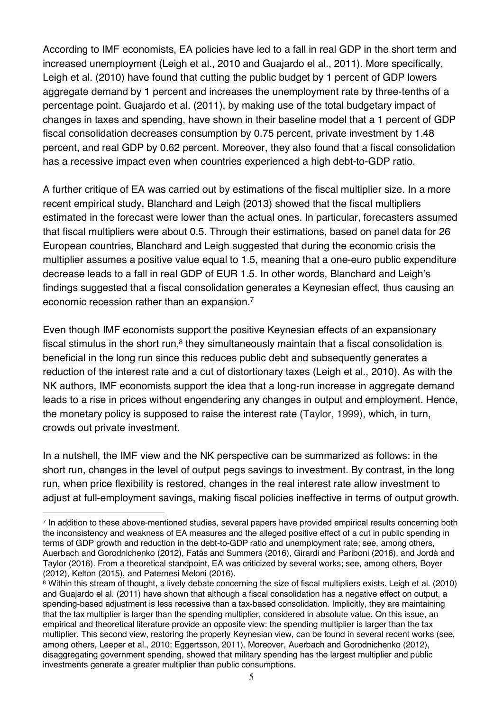According to IMF economists, EA policies have led to a fall in real GDP in the short term and increased unemployment (Leigh et al., 2010 and Guajardo el al., 2011). More specifically, Leigh et al. (2010) have found that cutting the public budget by 1 percent of GDP lowers aggregate demand by 1 percent and increases the unemployment rate by three-tenths of a percentage point. Guajardo et al. (2011), by making use of the total budgetary impact of changes in taxes and spending, have shown in their baseline model that a 1 percent of GDP fiscal consolidation decreases consumption by 0.75 percent, private investment by 1.48 percent, and real GDP by 0.62 percent. Moreover, they also found that a fiscal consolidation has a recessive impact even when countries experienced a high debt-to-GDP ratio.

A further critique of EA was carried out by estimations of the fiscal multiplier size. In a more recent empirical study, Blanchard and Leigh (2013) showed that the fiscal multipliers estimated in the forecast were lower than the actual ones. In particular, forecasters assumed that fiscal multipliers were about 0.5. Through their estimations, based on panel data for 26 European countries, Blanchard and Leigh suggested that during the economic crisis the multiplier assumes a positive value equal to 1.5, meaning that a one-euro public expenditure decrease leads to a fall in real GDP of EUR 1.5. In other words, Blanchard and Leigh's findings suggested that a fiscal consolidation generates a Keynesian effect, thus causing an economic recession rather than an expansion.7

Even though IMF economists support the positive Keynesian effects of an expansionary fiscal stimulus in the short run,<sup>8</sup> they simultaneously maintain that a fiscal consolidation is beneficial in the long run since this reduces public debt and subsequently generates a reduction of the interest rate and a cut of distortionary taxes (Leigh et al., 2010). As with the NK authors, IMF economists support the idea that a long-run increase in aggregate demand leads to a rise in prices without engendering any changes in output and employment. Hence, the monetary policy is supposed to raise the interest rate (Taylor, 1999), which, in turn, crowds out private investment.

In a nutshell, the IMF view and the NK perspective can be summarized as follows: in the short run, changes in the level of output pegs savings to investment. By contrast, in the long run, when price flexibility is restored, changes in the real interest rate allow investment to adjust at full-employment savings, making fiscal policies ineffective in terms of output growth.

<sup>1</sup> <sup>7</sup> In addition to these above-mentioned studies, several papers have provided empirical results concerning both the inconsistency and weakness of EA measures and the alleged positive effect of a cut in public spending in terms of GDP growth and reduction in the debt-to-GDP ratio and unemployment rate; see, among others, Auerbach and Gorodnichenko (2012), Fatás and Summers (2016), Girardi and Pariboni (2016), and Jordà and Taylor (2016). From a theoretical standpoint, EA was criticized by several works; see, among others, Boyer (2012), Kelton (2015), and Paternesi Meloni (2016).

<sup>8</sup> Within this stream of thought, a lively debate concerning the size of fiscal multipliers exists. Leigh et al. (2010) and Guajardo el al. (2011) have shown that although a fiscal consolidation has a negative effect on output, a spending-based adjustment is less recessive than a tax-based consolidation. Implicitly, they are maintaining that the tax multiplier is larger than the spending multiplier, considered in absolute value. On this issue, an empirical and theoretical literature provide an opposite view: the spending multiplier is larger than the tax multiplier. This second view, restoring the properly Keynesian view, can be found in several recent works (see, among others, Leeper et al., 2010; Eggertsson, 2011). Moreover, Auerbach and Gorodnichenko (2012), disaggregating government spending, showed that military spending has the largest multiplier and public investments generate a greater multiplier than public consumptions.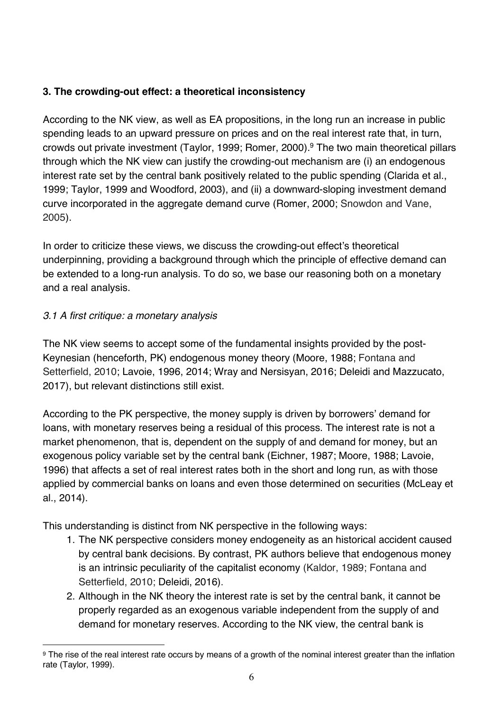# **3. The crowding-out effect: a theoretical inconsistency**

According to the NK view, as well as EA propositions, in the long run an increase in public spending leads to an upward pressure on prices and on the real interest rate that, in turn, crowds out private investment (Taylor, 1999; Romer, 2000).9 The two main theoretical pillars through which the NK view can justify the crowding-out mechanism are (i) an endogenous interest rate set by the central bank positively related to the public spending (Clarida et al., 1999; Taylor, 1999 and Woodford, 2003), and (ii) a downward-sloping investment demand curve incorporated in the aggregate demand curve (Romer, 2000; Snowdon and Vane, 2005).

In order to criticize these views, we discuss the crowding-out effect's theoretical underpinning, providing a background through which the principle of effective demand can be extended to a long-run analysis. To do so, we base our reasoning both on a monetary and a real analysis.

# *3.1 A first critique: a monetary analysis*

The NK view seems to accept some of the fundamental insights provided by the post-Keynesian (henceforth, PK) endogenous money theory (Moore, 1988; Fontana and Setterfield, 2010; Lavoie, 1996, 2014; Wray and Nersisyan, 2016; Deleidi and Mazzucato, 2017), but relevant distinctions still exist.

According to the PK perspective, the money supply is driven by borrowers' demand for loans, with monetary reserves being a residual of this process. The interest rate is not a market phenomenon, that is, dependent on the supply of and demand for money, but an exogenous policy variable set by the central bank (Eichner, 1987; Moore, 1988; Lavoie, 1996) that affects a set of real interest rates both in the short and long run, as with those applied by commercial banks on loans and even those determined on securities (McLeay et al., 2014).

This understanding is distinct from NK perspective in the following ways:

- 1. The NK perspective considers money endogeneity as an historical accident caused by central bank decisions. By contrast, PK authors believe that endogenous money is an intrinsic peculiarity of the capitalist economy (Kaldor, 1989; Fontana and Setterfield, 2010; Deleidi, 2016).
- 2. Although in the NK theory the interest rate is set by the central bank, it cannot be properly regarded as an exogenous variable independent from the supply of and demand for monetary reserves. According to the NK view, the central bank is

<sup>&</sup>lt;u>.</u> <sup>9</sup> The rise of the real interest rate occurs by means of a growth of the nominal interest greater than the inflation rate (Taylor, 1999).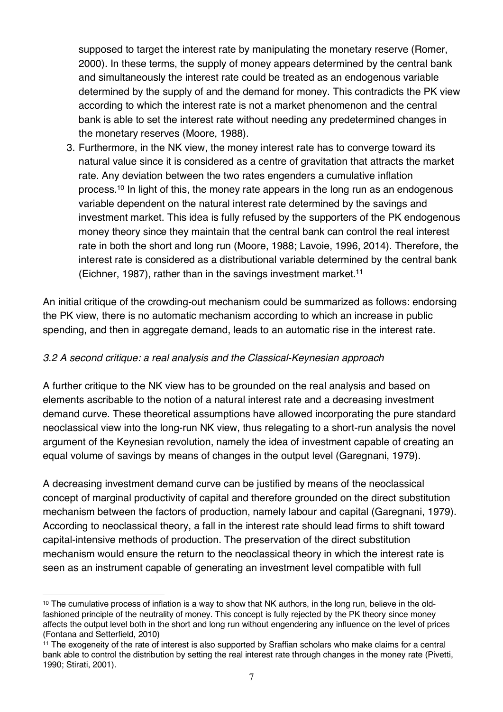supposed to target the interest rate by manipulating the monetary reserve (Romer, 2000). In these terms, the supply of money appears determined by the central bank and simultaneously the interest rate could be treated as an endogenous variable determined by the supply of and the demand for money. This contradicts the PK view according to which the interest rate is not a market phenomenon and the central bank is able to set the interest rate without needing any predetermined changes in the monetary reserves (Moore, 1988).

3. Furthermore, in the NK view, the money interest rate has to converge toward its natural value since it is considered as a centre of gravitation that attracts the market rate. Any deviation between the two rates engenders a cumulative inflation process.10 In light of this, the money rate appears in the long run as an endogenous variable dependent on the natural interest rate determined by the savings and investment market. This idea is fully refused by the supporters of the PK endogenous money theory since they maintain that the central bank can control the real interest rate in both the short and long run (Moore, 1988; Lavoie, 1996, 2014). Therefore, the interest rate is considered as a distributional variable determined by the central bank (Eichner, 1987), rather than in the savings investment market. 11

An initial critique of the crowding-out mechanism could be summarized as follows: endorsing the PK view, there is no automatic mechanism according to which an increase in public spending, and then in aggregate demand, leads to an automatic rise in the interest rate.

# *3.2 A second critique: a real analysis and the Classical-Keynesian approach*

A further critique to the NK view has to be grounded on the real analysis and based on elements ascribable to the notion of a natural interest rate and a decreasing investment demand curve. These theoretical assumptions have allowed incorporating the pure standard neoclassical view into the long-run NK view, thus relegating to a short-run analysis the novel argument of the Keynesian revolution, namely the idea of investment capable of creating an equal volume of savings by means of changes in the output level (Garegnani, 1979).

A decreasing investment demand curve can be justified by means of the neoclassical concept of marginal productivity of capital and therefore grounded on the direct substitution mechanism between the factors of production, namely labour and capital (Garegnani, 1979). According to neoclassical theory, a fall in the interest rate should lead firms to shift toward capital-intensive methods of production. The preservation of the direct substitution mechanism would ensure the return to the neoclassical theory in which the interest rate is seen as an instrument capable of generating an investment level compatible with full

<sup>&</sup>lt;u>.</u> <sup>10</sup> The cumulative process of inflation is a way to show that NK authors, in the long run, believe in the oldfashioned principle of the neutrality of money. This concept is fully rejected by the PK theory since money affects the output level both in the short and long run without engendering any influence on the level of prices (Fontana and Setterfield, 2010)

 $11$  The exogeneity of the rate of interest is also supported by Sraffian scholars who make claims for a central bank able to control the distribution by setting the real interest rate through changes in the money rate (Pivetti, 1990; Stirati, 2001).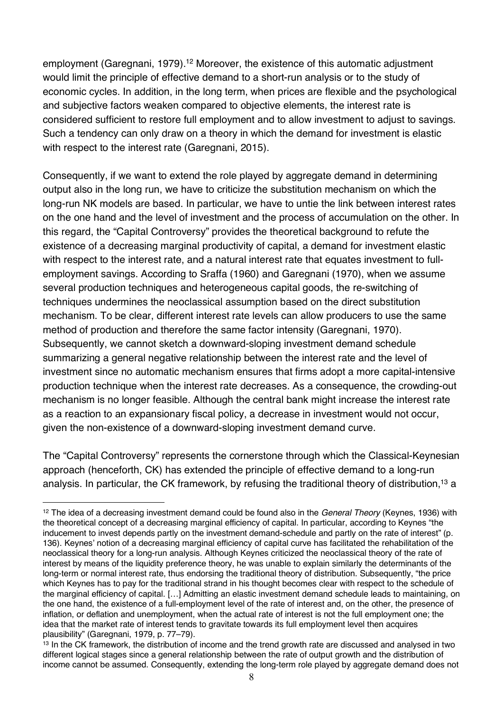employment (Garegnani, 1979).<sup>12</sup> Moreover, the existence of this automatic adjustment would limit the principle of effective demand to a short-run analysis or to the study of economic cycles. In addition, in the long term, when prices are flexible and the psychological and subjective factors weaken compared to objective elements, the interest rate is considered sufficient to restore full employment and to allow investment to adjust to savings. Such a tendency can only draw on a theory in which the demand for investment is elastic with respect to the interest rate (Garegnani, 2015).

Consequently, if we want to extend the role played by aggregate demand in determining output also in the long run, we have to criticize the substitution mechanism on which the long-run NK models are based. In particular, we have to untie the link between interest rates on the one hand and the level of investment and the process of accumulation on the other. In this regard, the "Capital Controversy" provides the theoretical background to refute the existence of a decreasing marginal productivity of capital, a demand for investment elastic with respect to the interest rate, and a natural interest rate that equates investment to fullemployment savings. According to Sraffa (1960) and Garegnani (1970), when we assume several production techniques and heterogeneous capital goods, the re-switching of techniques undermines the neoclassical assumption based on the direct substitution mechanism. To be clear, different interest rate levels can allow producers to use the same method of production and therefore the same factor intensity (Garegnani, 1970). Subsequently, we cannot sketch a downward-sloping investment demand schedule summarizing a general negative relationship between the interest rate and the level of investment since no automatic mechanism ensures that firms adopt a more capital-intensive production technique when the interest rate decreases. As a consequence, the crowding-out mechanism is no longer feasible. Although the central bank might increase the interest rate as a reaction to an expansionary fiscal policy, a decrease in investment would not occur, given the non-existence of a downward-sloping investment demand curve.

The "Capital Controversy" represents the cornerstone through which the Classical-Keynesian approach (henceforth, CK) has extended the principle of effective demand to a long-run analysis. In particular, the CK framework, by refusing the traditional theory of distribution, <sup>13</sup> a

<sup>12</sup> The idea of a decreasing investment demand could be found also in the *General Theory* (Keynes, 1936) with the theoretical concept of a decreasing marginal efficiency of capital. In particular, according to Keynes "the inducement to invest depends partly on the investment demand-schedule and partly on the rate of interest" (p. 136). Keynes' notion of a decreasing marginal efficiency of capital curve has facilitated the rehabilitation of the neoclassical theory for a long-run analysis. Although Keynes criticized the neoclassical theory of the rate of interest by means of the liquidity preference theory, he was unable to explain similarly the determinants of the long-term or normal interest rate, thus endorsing the traditional theory of distribution. Subsequently, "the price which Keynes has to pay for the traditional strand in his thought becomes clear with respect to the schedule of the marginal efficiency of capital. […] Admitting an elastic investment demand schedule leads to maintaining, on the one hand, the existence of a full-employment level of the rate of interest and, on the other, the presence of inflation, or deflation and unemployment, when the actual rate of interest is not the full employment one; the idea that the market rate of interest tends to gravitate towards its full employment level then acquires plausibility" (Garegnani, 1979, p. 77–79).

<sup>&</sup>lt;sup>13</sup> In the CK framework, the distribution of income and the trend growth rate are discussed and analysed in two different logical stages since a general relationship between the rate of output growth and the distribution of income cannot be assumed. Consequently, extending the long-term role played by aggregate demand does not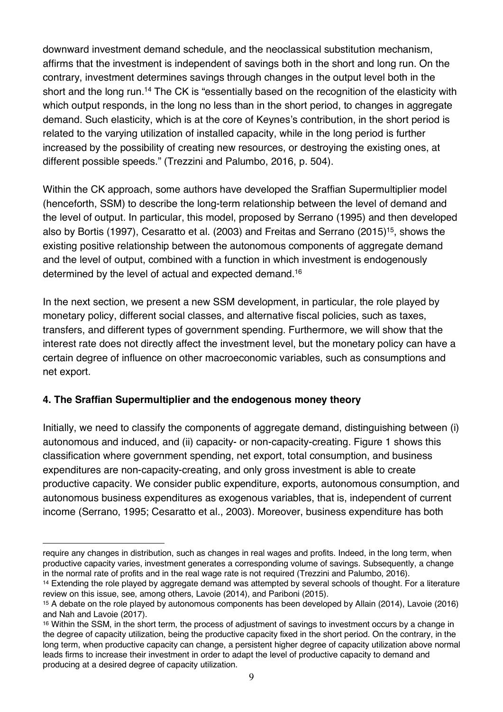downward investment demand schedule, and the neoclassical substitution mechanism, affirms that the investment is independent of savings both in the short and long run. On the contrary, investment determines savings through changes in the output level both in the short and the long run.<sup>14</sup> The CK is "essentially based on the recognition of the elasticity with which output responds, in the long no less than in the short period, to changes in aggregate demand. Such elasticity, which is at the core of Keynes's contribution, in the short period is related to the varying utilization of installed capacity, while in the long period is further increased by the possibility of creating new resources, or destroying the existing ones, at different possible speeds." (Trezzini and Palumbo, 2016, p. 504).

Within the CK approach, some authors have developed the Sraffian Supermultiplier model (henceforth, SSM) to describe the long-term relationship between the level of demand and the level of output. In particular, this model, proposed by Serrano (1995) and then developed also by Bortis (1997), Cesaratto et al. (2003) and Freitas and Serrano (2015)15, shows the existing positive relationship between the autonomous components of aggregate demand and the level of output, combined with a function in which investment is endogenously determined by the level of actual and expected demand.16

In the next section, we present a new SSM development, in particular, the role played by monetary policy, different social classes, and alternative fiscal policies, such as taxes, transfers, and different types of government spending. Furthermore, we will show that the interest rate does not directly affect the investment level, but the monetary policy can have a certain degree of influence on other macroeconomic variables, such as consumptions and net export.

# **4. The Sraffian Supermultiplier and the endogenous money theory**

1

Initially, we need to classify the components of aggregate demand, distinguishing between (i) autonomous and induced, and (ii) capacity- or non-capacity-creating. Figure 1 shows this classification where government spending, net export, total consumption, and business expenditures are non-capacity-creating, and only gross investment is able to create productive capacity. We consider public expenditure, exports, autonomous consumption, and autonomous business expenditures as exogenous variables, that is, independent of current income (Serrano, 1995; Cesaratto et al., 2003). Moreover, business expenditure has both

require any changes in distribution, such as changes in real wages and profits. Indeed, in the long term, when productive capacity varies, investment generates a corresponding volume of savings. Subsequently, a change in the normal rate of profits and in the real wage rate is not required (Trezzini and Palumbo, 2016).

<sup>14</sup> Extending the role played by aggregate demand was attempted by several schools of thought. For a literature review on this issue, see, among others, Lavoie (2014), and Pariboni (2015).

<sup>15</sup> A debate on the role played by autonomous components has been developed by Allain (2014), Lavoie (2016) and Nah and Lavoie (2017).

<sup>16</sup> Within the SSM, in the short term, the process of adjustment of savings to investment occurs by a change in the degree of capacity utilization, being the productive capacity fixed in the short period. On the contrary, in the long term, when productive capacity can change, a persistent higher degree of capacity utilization above normal leads firms to increase their investment in order to adapt the level of productive capacity to demand and producing at a desired degree of capacity utilization.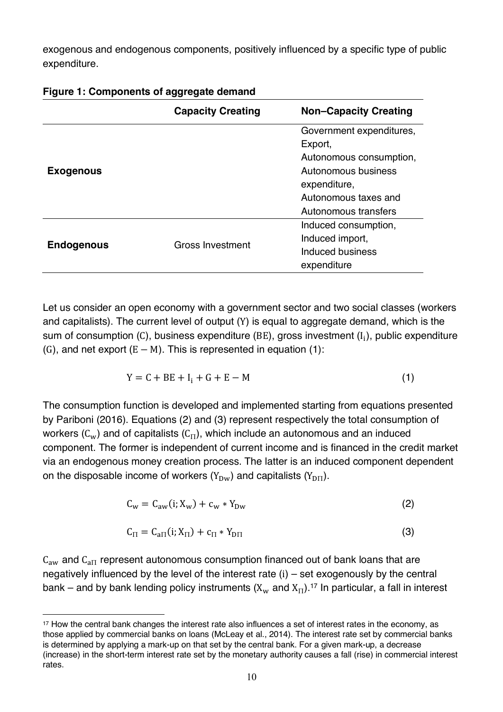exogenous and endogenous components, positively influenced by a specific type of public expenditure.

|                   | <b>Capacity Creating</b> | <b>Non-Capacity Creating</b> |
|-------------------|--------------------------|------------------------------|
| <b>Exogenous</b>  |                          | Government expenditures,     |
|                   |                          | Export,                      |
|                   |                          | Autonomous consumption,      |
|                   |                          | Autonomous business          |
|                   |                          | expenditure,                 |
|                   |                          | Autonomous taxes and         |
|                   |                          | Autonomous transfers         |
| <b>Endogenous</b> | Gross Investment         | Induced consumption,         |
|                   |                          | Induced import,              |
|                   |                          | Induced business             |
|                   |                          | expenditure                  |

#### **Figure 1: Components of aggregate demand**

Let us consider an open economy with a government sector and two social classes (workers and capitalists). The current level of output (Y) is equal to aggregate demand, which is the sum of consumption (C), business expenditure (BE), gross investment  $(I_i)$ , public expenditure (G), and net export  $(E - M)$ . This is represented in equation (1):

$$
Y = C + BE + Ii + G + E - M
$$
 (1)

The consumption function is developed and implemented starting from equations presented by Pariboni (2016). Equations (2) and (3) represent respectively the total consumption of workers ( $C_w$ ) and of capitalists ( $C_{\Pi}$ ), which include an autonomous and an induced component. The former is independent of current income and is financed in the credit market via an endogenous money creation process. The latter is an induced component dependent on the disposable income of workers  $(Y_{\text{Dw}})$  and capitalists  $(Y_{\text{D}\Pi})$ .

$$
C_w = C_{aw}(i; X_w) + c_w * Y_{Dw}
$$
 (2)

$$
C_{\Pi} = C_{a\Pi}(i; X_{\Pi}) + c_{\Pi} * Y_{\text{D}\Pi} \tag{3}
$$

 $C_{\text{aw}}$  and  $C_{\text{aII}}$  represent autonomous consumption financed out of bank loans that are negatively influenced by the level of the interest rate (i) – set exogenously by the central bank – and by bank lending policy instruments (X<sub>w</sub> and X<sub>II</sub>).<sup>17</sup> In particular, a fall in interest

<sup>&</sup>lt;u>.</u> <sup>17</sup> How the central bank changes the interest rate also influences a set of interest rates in the economy, as those applied by commercial banks on loans (McLeay et al., 2014). The interest rate set by commercial banks is determined by applying a mark-up on that set by the central bank. For a given mark-up, a decrease (increase) in the short-term interest rate set by the monetary authority causes a fall (rise) in commercial interest rates.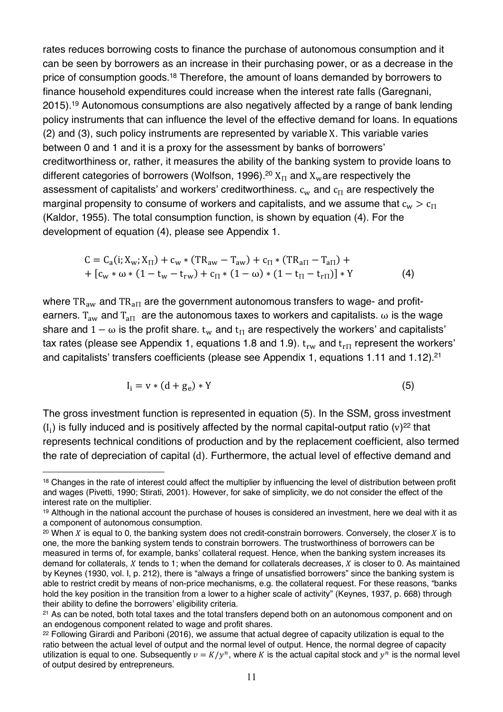rates reduces borrowing costs to finance the purchase of autonomous consumption and it can be seen by borrowers as an increase in their purchasing power, or as a decrease in the price of consumption goods.<sup>18</sup> Therefore, the amount of loans demanded by borrowers to finance household expenditures could increase when the interest rate falls (Garegnani, 2015).19 Autonomous consumptions are also negatively affected by a range of bank lending policy instruments that can influence the level of the effective demand for loans. In equations (2) and (3), such policy instruments are represented by variable X. This variable varies between 0 and 1 and it is a proxy for the assessment by banks of borrowers' creditworthiness or, rather, it measures the ability of the banking system to provide loans to different categories of borrowers (Wolfson, 1996).<sup>20</sup>  $X_{\Pi}$  and  $X_{w}$  are respectively the assessment of capitalists' and workers' creditworthiness.  $c_w$  and  $c_{\Pi}$  are respectively the marginal propensity to consume of workers and capitalists, and we assume that  $c_w > c_{\text{H}}$ (Kaldor, 1955). The total consumption function, is shown by equation (4). For the development of equation (4), please see Appendix 1.

$$
C = C_{a}(i; X_{w}; X_{\Pi}) + c_{w} * (TR_{aw} - T_{aw}) + c_{\Pi} * (TR_{a\Pi} - T_{a\Pi}) ++ [c_{w} * \omega * (1 - t_{w} - t_{rw}) + c_{\Pi} * (1 - \omega) * (1 - t_{\Pi} - t_{r\Pi})] * Y
$$
(4)

where  $TR_{aw}$  and  $TR_{a\text{H}}$  are the government autonomous transfers to wage- and profitearners.  $T_{\text{aw}}$  and  $T_{\text{a}T}$  are the autonomous taxes to workers and capitalists.  $\omega$  is the wage share and  $1 - \omega$  is the profit share.  $t_w$  and  $t_H$  are respectively the workers' and capitalists' tax rates (please see Appendix 1, equations 1.8 and 1.9).  $t_{rw}$  and  $t_{r\pi}$  represent the workers' and capitalists' transfers coefficients (please see Appendix 1, equations 1.11 and 1.12).<sup>21</sup>

$$
I_i = v * (d + g_e) * Y \tag{5}
$$

The gross investment function is represented in equation (5). In the SSM, gross investment  $(I_i)$  is fully induced and is positively affected by the normal capital-output ratio (v)<sup>22</sup> that represents technical conditions of production and by the replacement coefficient, also termed the rate of depreciation of capital (d). Furthermore, the actual level of effective demand and

<sup>18</sup> Changes in the rate of interest could affect the multiplier by influencing the level of distribution between profit and wages (Pivetti, 1990; Stirati, 2001). However, for sake of simplicity, we do not consider the effect of the interest rate on the multiplier.

<sup>19</sup> Although in the national account the purchase of houses is considered an investment, here we deal with it as a component of autonomous consumption.

<sup>&</sup>lt;sup>20</sup> When X is equal to 0, the banking system does not credit-constrain borrowers. Conversely, the closer X is to one, the more the banking system tends to constrain borrowers. The trustworthiness of borrowers can be measured in terms of, for example, banks' collateral request. Hence, when the banking system increases its demand for collaterals,  $X$  tends to 1; when the demand for collaterals decreases,  $X$  is closer to 0. As maintained by Keynes (1930, vol. I, p. 212), there is "always a fringe of unsatisfied borrowers" since the banking system is able to restrict credit by means of non-price mechanisms, e.g. the collateral request. For these reasons, "banks hold the key position in the transition from a lower to a higher scale of activity" (Keynes, 1937, p. 668) through their ability to define the borrowers' eligibility criteria.

<sup>&</sup>lt;sup>21</sup> As can be noted, both total taxes and the total transfers depend both on an autonomous component and on an endogenous component related to wage and profit shares.

<sup>22</sup> Following Girardi and Pariboni (2016), we assume that actual degree of capacity utilization is equal to the ratio between the actual level of output and the normal level of output. Hence, the normal degree of capacity utilization is equal to one. Subsequently  $v = K/v^n$ , where K is the actual capital stock and  $v^n$  is the normal level of output desired by entrepreneurs.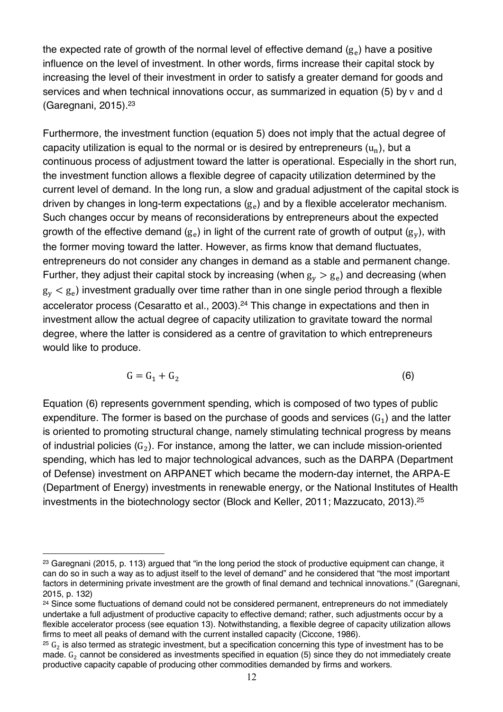the expected rate of growth of the normal level of effective demand  $(g<sub>e</sub>)$  have a positive influence on the level of investment. In other words, firms increase their capital stock by increasing the level of their investment in order to satisfy a greater demand for goods and services and when technical innovations occur, as summarized in equation (5) by v and d (Garegnani, 2015). $23$ 

Furthermore, the investment function (equation 5) does not imply that the actual degree of capacity utilization is equal to the normal or is desired by entrepreneurs  $(u_n)$ , but a continuous process of adjustment toward the latter is operational. Especially in the short run, the investment function allows a flexible degree of capacity utilization determined by the current level of demand. In the long run, a slow and gradual adjustment of the capital stock is driven by changes in long-term expectations  $(g<sub>e</sub>)$  and by a flexible accelerator mechanism. Such changes occur by means of reconsiderations by entrepreneurs about the expected growth of the effective demand  $(g_e)$  in light of the current rate of growth of output  $(g_v)$ , with the former moving toward the latter. However, as firms know that demand fluctuates, entrepreneurs do not consider any changes in demand as a stable and permanent change. Further, they adjust their capital stock by increasing (when  $g_v > g_e$ ) and decreasing (when  $g_v < g_e$ ) investment gradually over time rather than in one single period through a flexible accelerator process (Cesaratto et al., 2003). <sup>24</sup> This change in expectations and then in investment allow the actual degree of capacity utilization to gravitate toward the normal degree, where the latter is considered as a centre of gravitation to which entrepreneurs would like to produce.

$$
G = G_1 + G_2 \tag{6}
$$

Equation (6) represents government spending, which is composed of two types of public expenditure. The former is based on the purchase of goods and services  $(G_1)$  and the latter is oriented to promoting structural change, namely stimulating technical progress by means of industrial policies  $(G_2)$ . For instance, among the latter, we can include mission-oriented spending, which has led to major technological advances, such as the DARPA (Department of Defense) investment on ARPANET which became the modern-day internet, the ARPA-E (Department of Energy) investments in renewable energy, or the National Institutes of Health investments in the biotechnology sector (Block and Keller, 2011; Mazzucato, 2013).25

<sup>&</sup>lt;u>.</u> <sup>23</sup> Garegnani (2015, p. 113) argued that "in the long period the stock of productive equipment can change, it can do so in such a way as to adjust itself to the level of demand" and he considered that "the most important factors in determining private investment are the growth of final demand and technical innovations." (Garegnani, 2015, p. 132)

<sup>&</sup>lt;sup>24</sup> Since some fluctuations of demand could not be considered permanent, entrepreneurs do not immediately undertake a full adjustment of productive capacity to effective demand; rather, such adjustments occur by a flexible accelerator process (see equation 13). Notwithstanding, a flexible degree of capacity utilization allows firms to meet all peaks of demand with the current installed capacity (Ciccone, 1986).

 $25 G<sub>2</sub>$  is also termed as strategic investment, but a specification concerning this type of investment has to be made.  $G_2$  cannot be considered as investments specified in equation (5) since they do not immediately create productive capacity capable of producing other commodities demanded by firms and workers.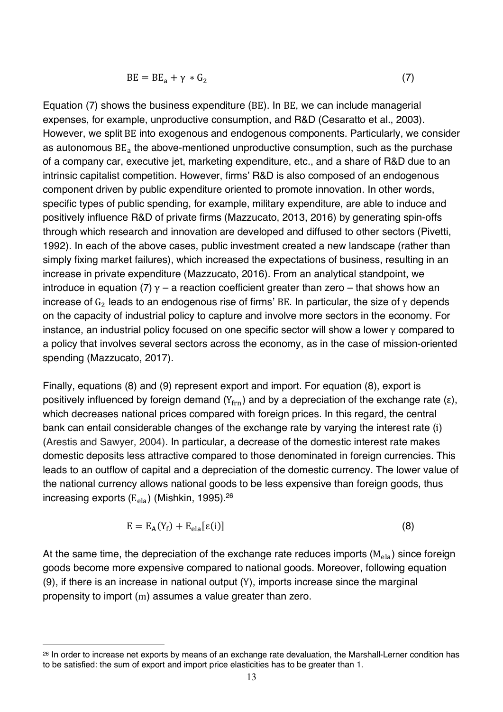$$
BE = BE_a + \gamma * G_2 \tag{7}
$$

Equation (7) shows the business expenditure (BE). In BE, we can include managerial expenses, for example, unproductive consumption, and R&D (Cesaratto et al., 2003). However, we split BE into exogenous and endogenous components. Particularly, we consider as autonomous  $BE<sub>a</sub>$  the above-mentioned unproductive consumption, such as the purchase of a company car, executive jet, marketing expenditure, etc., and a share of R&D due to an intrinsic capitalist competition. However, firms' R&D is also composed of an endogenous component driven by public expenditure oriented to promote innovation. In other words, specific types of public spending, for example, military expenditure, are able to induce and positively influence R&D of private firms (Mazzucato, 2013, 2016) by generating spin-offs through which research and innovation are developed and diffused to other sectors (Pivetti, 1992). In each of the above cases, public investment created a new landscape (rather than simply fixing market failures), which increased the expectations of business, resulting in an increase in private expenditure (Mazzucato, 2016). From an analytical standpoint, we introduce in equation (7)  $\gamma$  – a reaction coefficient greater than zero – that shows how an increase of  $G_2$  leads to an endogenous rise of firms' BE. In particular, the size of  $\gamma$  depends on the capacity of industrial policy to capture and involve more sectors in the economy. For instance, an industrial policy focused on one specific sector will show a lower  $\gamma$  compared to a policy that involves several sectors across the economy, as in the case of mission-oriented spending (Mazzucato, 2017).

Finally, equations (8) and (9) represent export and import. For equation (8), export is positively influenced by foreign demand  $(Y_{\text{frn}})$  and by a depreciation of the exchange rate (ε), which decreases national prices compared with foreign prices. In this regard, the central bank can entail considerable changes of the exchange rate by varying the interest rate (i) (Arestis and Sawyer, 2004). In particular, a decrease of the domestic interest rate makes domestic deposits less attractive compared to those denominated in foreign currencies. This leads to an outflow of capital and a depreciation of the domestic currency. The lower value of the national currency allows national goods to be less expensive than foreign goods, thus increasing exports  $(E_{ela})$  (Mishkin, 1995).<sup>26</sup>

$$
E = E_A(Y_f) + E_{ela}[\varepsilon(i)]
$$
\n(8)

At the same time, the depreciation of the exchange rate reduces imports  $(M<sub>ela</sub>)$  since foreign goods become more expensive compared to national goods. Moreover, following equation (9), if there is an increase in national output (Y), imports increase since the marginal propensity to import (m) assumes a value greater than zero.

<sup>&</sup>lt;sup>26</sup> In order to increase net exports by means of an exchange rate devaluation, the Marshall-Lerner condition has to be satisfied: the sum of export and import price elasticities has to be greater than 1.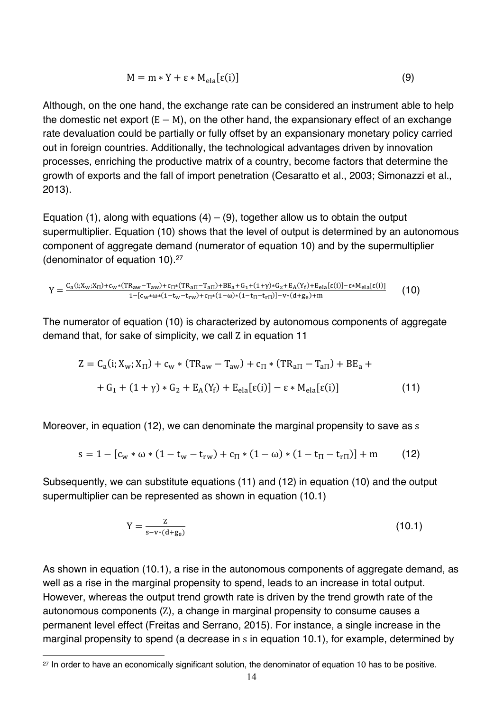$$
M = m * Y + \varepsilon * M_{ela}[\varepsilon(i)]
$$
\n(9)

Although, on the one hand, the exchange rate can be considered an instrument able to help the domestic net export  $(E - M)$ , on the other hand, the expansionary effect of an exchange rate devaluation could be partially or fully offset by an expansionary monetary policy carried out in foreign countries. Additionally, the technological advantages driven by innovation processes, enriching the productive matrix of a country, become factors that determine the growth of exports and the fall of import penetration (Cesaratto et al., 2003; Simonazzi et al., 2013).

Equation (1), along with equations  $(4) - (9)$ , together allow us to obtain the output supermultiplier. Equation (10) shows that the level of output is determined by an autonomous component of aggregate demand (numerator of equation 10) and by the supermultiplier (denominator of equation 10).27

$$
Y=\tfrac{C_a(i;X_w;X_{\Pi})+c_w*(TR_{aw}-T_{aw})+c_{\Pi}*(TR_{a\Pi}-T_{a\Pi})+BE_a+G_1+(1+\gamma)*G_2+E_A(Y_f)+E_{ela}[\epsilon(i)]- \epsilon*M_{ela}[\epsilon(i)]}{1-[c_w*\omega*(1-t_w-t_{rw})+c_{\Pi}*(1-\omega)*(1-t_{\Pi}-t_{r\Pi})]-v*(d+g_e)+m} \hspace{1.0in}(10)
$$

The numerator of equation (10) is characterized by autonomous components of aggregate demand that, for sake of simplicity, we call Z in equation 11

$$
Z = C_a(i; X_w; X_{\Pi}) + c_w * (TR_{aw} - T_{aw}) + c_{\Pi} * (TR_{a\Pi} - T_{a\Pi}) + BE_a ++ G_1 + (1 + \gamma) * G_2 + E_A(Y_f) + E_{ela}[ε(i)] - ε * M_{ela}[ε(i)]
$$
\n(11)

Moreover, in equation (12), we can denominate the marginal propensity to save as s

$$
s = 1 - [c_w * \omega * (1 - t_w - t_{rw}) + c_{\Pi} * (1 - \omega) * (1 - t_{\Pi} - t_{r\Pi})] + m \tag{12}
$$

Subsequently, we can substitute equations (11) and (12) in equation (10) and the output supermultiplier can be represented as shown in equation (10.1)

$$
Y = \frac{Z}{s - v * (d + g_e)}
$$
(10.1)

As shown in equation (10.1), a rise in the autonomous components of aggregate demand, as well as a rise in the marginal propensity to spend, leads to an increase in total output. However, whereas the output trend growth rate is driven by the trend growth rate of the autonomous components (Z), a change in marginal propensity to consume causes a permanent level effect (Freitas and Serrano, 2015). For instance, a single increase in the marginal propensity to spend (a decrease in s in equation 10.1), for example, determined by

<sup>&</sup>lt;sup>27</sup> In order to have an economically significant solution, the denominator of equation 10 has to be positive.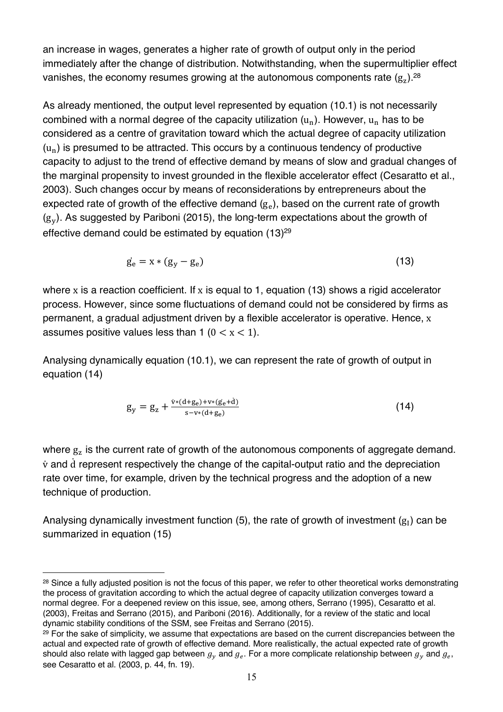an increase in wages, generates a higher rate of growth of output only in the period immediately after the change of distribution. Notwithstanding, when the supermultiplier effect vanishes, the economy resumes growing at the autonomous components rate  $(g_z)$ .<sup>28</sup>

As already mentioned, the output level represented by equation (10.1) is not necessarily combined with a normal degree of the capacity utilization  $(u_n)$ . However,  $u_n$  has to be considered as a centre of gravitation toward which the actual degree of capacity utilization  $(u_n)$  is presumed to be attracted. This occurs by a continuous tendency of productive capacity to adjust to the trend of effective demand by means of slow and gradual changes of the marginal propensity to invest grounded in the flexible accelerator effect (Cesaratto et al., 2003). Such changes occur by means of reconsiderations by entrepreneurs about the expected rate of growth of the effective demand  $(g<sub>e</sub>)$ , based on the current rate of growth  $(g<sub>v</sub>)$ . As suggested by Pariboni (2015), the long-term expectations about the growth of effective demand could be estimated by equation (13)<sup>29</sup>

$$
\dot{\mathbf{g}}_{\mathbf{e}} = \mathbf{x} * (\mathbf{g}_{\mathbf{y}} - \mathbf{g}_{\mathbf{e}}) \tag{13}
$$

where x is a reaction coefficient. If x is equal to 1, equation (13) shows a rigid accelerator process. However, since some fluctuations of demand could not be considered by firms as permanent, a gradual adjustment driven by a flexible accelerator is operative. Hence, x assumes positive values less than 1 ( $0 < x < 1$ ).

Analysing dynamically equation (10.1), we can represent the rate of growth of output in equation (14)

$$
g_y = g_z + \frac{\dot{v}*(d+g_e) + v*(g_e + d)}{s - v*(d+g_e)}
$$
(14)

where  $g<sub>z</sub>$  is the current rate of growth of the autonomous components of aggregate demand.  $\dot{v}$  and  $\dot{d}$  represent respectively the change of the capital-output ratio and the depreciation rate over time, for example, driven by the technical progress and the adoption of a new technique of production.

Analysing dynamically investment function (5), the rate of growth of investment  $(g_I)$  can be summarized in equation (15)

<sup>28</sup> Since a fully adjusted position is not the focus of this paper, we refer to other theoretical works demonstrating the process of gravitation according to which the actual degree of capacity utilization converges toward a normal degree. For a deepened review on this issue, see, among others, Serrano (1995), Cesaratto et al. (2003), Freitas and Serrano (2015), and Pariboni (2016). Additionally, for a review of the static and local dynamic stability conditions of the SSM, see Freitas and Serrano (2015).

<sup>&</sup>lt;sup>29</sup> For the sake of simplicity, we assume that expectations are based on the current discrepancies between the actual and expected rate of growth of effective demand. More realistically, the actual expected rate of growth should also relate with lagged gap between  $g_v$  and  $g_e$ . For a more complicate relationship between  $g_v$  and  $g_e$ , see Cesaratto et al. (2003, p. 44, fn. 19).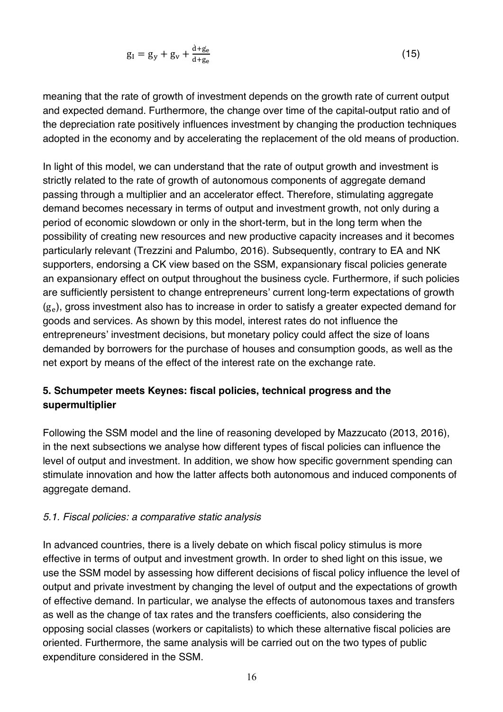$$
g_I = g_y + g_v + \frac{\dot{d} + g_e}{d + g_e} \tag{15}
$$

meaning that the rate of growth of investment depends on the growth rate of current output and expected demand. Furthermore, the change over time of the capital-output ratio and of the depreciation rate positively influences investment by changing the production techniques adopted in the economy and by accelerating the replacement of the old means of production.

In light of this model, we can understand that the rate of output growth and investment is strictly related to the rate of growth of autonomous components of aggregate demand passing through a multiplier and an accelerator effect. Therefore, stimulating aggregate demand becomes necessary in terms of output and investment growth, not only during a period of economic slowdown or only in the short-term, but in the long term when the possibility of creating new resources and new productive capacity increases and it becomes particularly relevant (Trezzini and Palumbo, 2016). Subsequently, contrary to EA and NK supporters, endorsing a CK view based on the SSM, expansionary fiscal policies generate an expansionary effect on output throughout the business cycle. Furthermore, if such policies are sufficiently persistent to change entrepreneurs' current long-term expectations of growth  $(g<sub>e</sub>)$ , gross investment also has to increase in order to satisfy a greater expected demand for goods and services. As shown by this model, interest rates do not influence the entrepreneurs' investment decisions, but monetary policy could affect the size of loans demanded by borrowers for the purchase of houses and consumption goods, as well as the net export by means of the effect of the interest rate on the exchange rate.

# **5. Schumpeter meets Keynes: fiscal policies, technical progress and the supermultiplier**

Following the SSM model and the line of reasoning developed by Mazzucato (2013, 2016), in the next subsections we analyse how different types of fiscal policies can influence the level of output and investment. In addition, we show how specific government spending can stimulate innovation and how the latter affects both autonomous and induced components of aggregate demand.

#### *5.1. Fiscal policies: a comparative static analysis*

In advanced countries, there is a lively debate on which fiscal policy stimulus is more effective in terms of output and investment growth. In order to shed light on this issue, we use the SSM model by assessing how different decisions of fiscal policy influence the level of output and private investment by changing the level of output and the expectations of growth of effective demand. In particular, we analyse the effects of autonomous taxes and transfers as well as the change of tax rates and the transfers coefficients, also considering the opposing social classes (workers or capitalists) to which these alternative fiscal policies are oriented. Furthermore, the same analysis will be carried out on the two types of public expenditure considered in the SSM.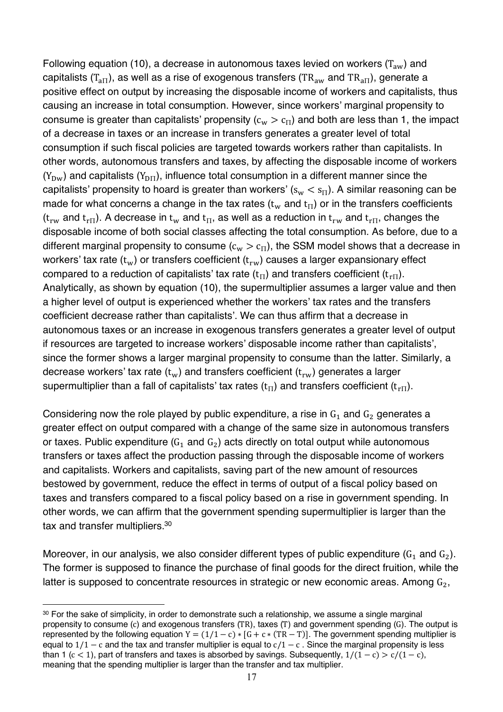Following equation (10), a decrease in autonomous taxes levied on workers  $(T_{aw})$  and capitalists (T<sub>aII</sub>), as well as a rise of exogenous transfers (TR<sub>aw</sub> and TR<sub>aII</sub>), generate a positive effect on output by increasing the disposable income of workers and capitalists, thus causing an increase in total consumption. However, since workers' marginal propensity to consume is greater than capitalists' propensity ( $c_w > c_{\text{H}}$ ) and both are less than 1, the impact of a decrease in taxes or an increase in transfers generates a greater level of total consumption if such fiscal policies are targeted towards workers rather than capitalists. In other words, autonomous transfers and taxes, by affecting the disposable income of workers  $(Y_{DW})$  and capitalists  $(Y_{DT})$ , influence total consumption in a different manner since the capitalists' propensity to hoard is greater than workers'  $(s_w < s_\Pi)$ . A similar reasoning can be made for what concerns a change in the tax rates ( $t_w$  and  $t_H$ ) or in the transfers coefficients  $(t_{rw}$  and  $t_{r}$ ). A decrease in  $t_w$  and  $t_{\text{H}}$ , as well as a reduction in  $t_{rw}$  and  $t_{r}$ , changes the disposable income of both social classes affecting the total consumption. As before, due to a different marginal propensity to consume  $(c_w > c_{\text{H}})$ , the SSM model shows that a decrease in workers' tax rate  $(t_w)$  or transfers coefficient  $(t_{rw})$  causes a larger expansionary effect compared to a reduction of capitalists' tax rate  $(t_{\Pi})$  and transfers coefficient  $(t_{\Pi})$ . Analytically, as shown by equation (10), the supermultiplier assumes a larger value and then a higher level of output is experienced whether the workers' tax rates and the transfers coefficient decrease rather than capitalists'. We can thus affirm that a decrease in autonomous taxes or an increase in exogenous transfers generates a greater level of output if resources are targeted to increase workers' disposable income rather than capitalists', since the former shows a larger marginal propensity to consume than the latter. Similarly, a decrease workers' tax rate  $(t_w)$  and transfers coefficient  $(t_{rw})$  generates a larger supermultiplier than a fall of capitalists' tax rates ( $t_{\text{H}}$ ) and transfers coefficient ( $t_{\text{H}}$ ).

Considering now the role played by public expenditure, a rise in  $G_1$  and  $G_2$  generates a greater effect on output compared with a change of the same size in autonomous transfers or taxes. Public expenditure  $(G_1 \text{ and } G_2)$  acts directly on total output while autonomous transfers or taxes affect the production passing through the disposable income of workers and capitalists. Workers and capitalists, saving part of the new amount of resources bestowed by government, reduce the effect in terms of output of a fiscal policy based on taxes and transfers compared to a fiscal policy based on a rise in government spending. In other words, we can affirm that the government spending supermultiplier is larger than the tax and transfer multipliers.30

Moreover, in our analysis, we also consider different types of public expenditure  $(G_1 \text{ and } G_2)$ . The former is supposed to finance the purchase of final goods for the direct fruition, while the latter is supposed to concentrate resources in strategic or new economic areas. Among  $G_2$ ,

<sup>&</sup>lt;u>.</u> 30 For the sake of simplicity, in order to demonstrate such a relationship, we assume a single marginal propensity to consume (c) and exogenous transfers (TR), taxes (T) and government spending (G). The output is represented by the following equation  $Y = (1/1 - c) * [G + c * (TR - T)]$ . The government spending multiplier is equal to  $1/1 - c$  and the tax and transfer multiplier is equal to  $c/1 - c$ . Since the marginal propensity is less than 1 (c < 1), part of transfers and taxes is absorbed by savings. Subsequently,  $1/(1 - c) > c/(1 - c)$ , meaning that the spending multiplier is larger than the transfer and tax multiplier.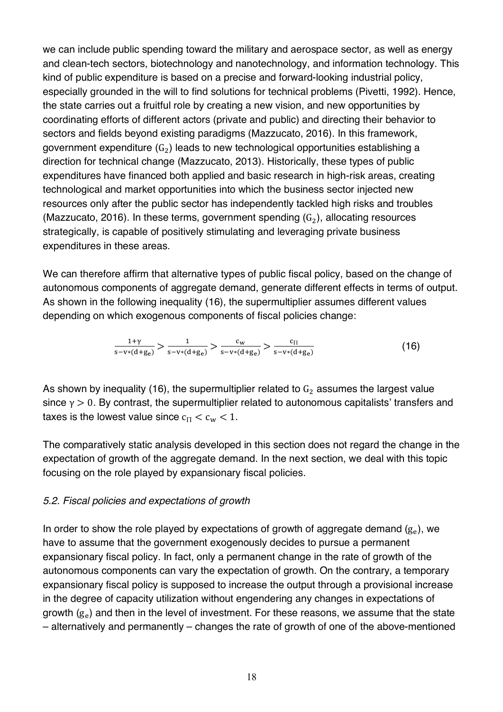we can include public spending toward the military and aerospace sector, as well as energy and clean-tech sectors, biotechnology and nanotechnology, and information technology. This kind of public expenditure is based on a precise and forward-looking industrial policy, especially grounded in the will to find solutions for technical problems (Pivetti, 1992). Hence, the state carries out a fruitful role by creating a new vision, and new opportunities by coordinating efforts of different actors (private and public) and directing their behavior to sectors and fields beyond existing paradigms (Mazzucato, 2016). In this framework, government expenditure  $(G_2)$  leads to new technological opportunities establishing a direction for technical change (Mazzucato, 2013). Historically, these types of public expenditures have financed both applied and basic research in high-risk areas, creating technological and market opportunities into which the business sector injected new resources only after the public sector has independently tackled high risks and troubles (Mazzucato, 2016). In these terms, government spending  $(G_2)$ , allocating resources strategically, is capable of positively stimulating and leveraging private business expenditures in these areas.

We can therefore affirm that alternative types of public fiscal policy, based on the change of autonomous components of aggregate demand, generate different effects in terms of output. As shown in the following inequality (16), the supermultiplier assumes different values depending on which exogenous components of fiscal policies change:

$$
\frac{1+\gamma}{s-v*(d+g_e)} > \frac{1}{s-v*(d+g_e)} > \frac{c_w}{s-v*(d+g_e)} > \frac{c_{\Pi}}{s-v*(d+g_e)}\tag{16}
$$

As shown by inequality (16), the supermultiplier related to  $G_2$  assumes the largest value since  $\gamma > 0$ . By contrast, the supermultiplier related to autonomous capitalists' transfers and taxes is the lowest value since  $c_{\text{H}} < c_{\text{w}} < 1$ .

The comparatively static analysis developed in this section does not regard the change in the expectation of growth of the aggregate demand. In the next section, we deal with this topic focusing on the role played by expansionary fiscal policies.

#### *5.2. Fiscal policies and expectations of growth*

In order to show the role played by expectations of growth of aggregate demand  $(g_e)$ , we have to assume that the government exogenously decides to pursue a permanent expansionary fiscal policy. In fact, only a permanent change in the rate of growth of the autonomous components can vary the expectation of growth. On the contrary, a temporary expansionary fiscal policy is supposed to increase the output through a provisional increase in the degree of capacity utilization without engendering any changes in expectations of growth  $(g<sub>e</sub>)$  and then in the level of investment. For these reasons, we assume that the state – alternatively and permanently – changes the rate of growth of one of the above-mentioned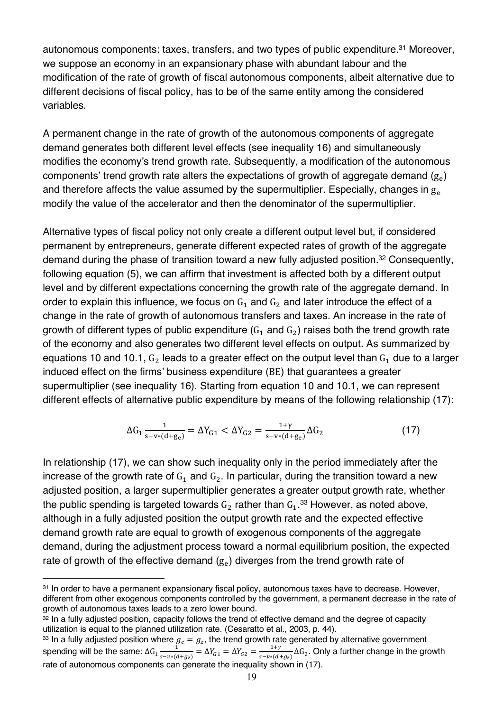autonomous components: taxes, transfers, and two types of public expenditure. <sup>31</sup> Moreover, we suppose an economy in an expansionary phase with abundant labour and the modification of the rate of growth of fiscal autonomous components, albeit alternative due to different decisions of fiscal policy, has to be of the same entity among the considered variables.

A permanent change in the rate of growth of the autonomous components of aggregate demand generates both different level effects (see inequality 16) and simultaneously modifies the economy's trend growth rate. Subsequently, a modification of the autonomous components' trend growth rate alters the expectations of growth of aggregate demand  $(g<sub>e</sub>)$ and therefore affects the value assumed by the supermultiplier. Especially, changes in  $g<sub>e</sub>$ modify the value of the accelerator and then the denominator of the supermultiplier.

Alternative types of fiscal policy not only create a different output level but, if considered permanent by entrepreneurs, generate different expected rates of growth of the aggregate demand during the phase of transition toward a new fully adjusted position. <sup>32</sup> Consequently, following equation (5), we can affirm that investment is affected both by a different output level and by different expectations concerning the growth rate of the aggregate demand. In order to explain this influence, we focus on  $G_1$  and  $G_2$  and later introduce the effect of a change in the rate of growth of autonomous transfers and taxes. An increase in the rate of growth of different types of public expenditure  $(G_1 \text{ and } G_2)$  raises both the trend growth rate of the economy and also generates two different level effects on output. As summarized by equations 10 and 10.1,  $G_2$  leads to a greater effect on the output level than  $G_1$  due to a larger induced effect on the firms' business expenditure (BE) that guarantees a greater supermultiplier (see inequality 16). Starting from equation 10 and 10.1, we can represent different effects of alternative public expenditure by means of the following relationship (17):

$$
\Delta G_1 \frac{1}{s - v * (d + g_e)} = \Delta Y_{G1} < \Delta Y_{G2} = \frac{1 + \gamma}{s - v * (d + g_e)} \Delta G_2 \tag{17}
$$

In relationship (17), we can show such inequality only in the period immediately after the increase of the growth rate of  $G_1$  and  $G_2$ . In particular, during the transition toward a new adjusted position, a larger supermultiplier generates a greater output growth rate, whether the public spending is targeted towards  $\texttt{G}_{2}$  rather than  $\texttt{G}_{1}.^{\text{33}}$  However, as noted above, although in a fully adjusted position the output growth rate and the expected effective demand growth rate are equal to growth of exogenous components of the aggregate demand, during the adjustment process toward a normal equilibrium position, the expected rate of growth of the effective demand  $(g<sub>e</sub>)$  diverges from the trend growth rate of

1

<sup>31</sup> In order to have a permanent expansionary fiscal policy, autonomous taxes have to decrease. However, different from other exogenous components controlled by the government, a permanent decrease in the rate of growth of autonomous taxes leads to a zero lower bound.

<sup>32</sup> In a fully adjusted position, capacity follows the trend of effective demand and the degree of capacity utilization is equal to the planned utilization rate. (Cesaratto et al., 2003, p. 44).

<sup>&</sup>lt;sup>33</sup> In a fully adjusted position where  $g_e = g_z$ , the trend growth rate generated by alternative government spending will be the same:  $\Delta G_1 \frac{1}{s-v*(d+g_z)} = \Delta Y_{G1} = \Delta Y_{G2} = \frac{1+\gamma}{s-v*(d+g_z)} \Delta G_2$ . Only a further change in the growth rate of autonomous components can generate the inequality shown in (17).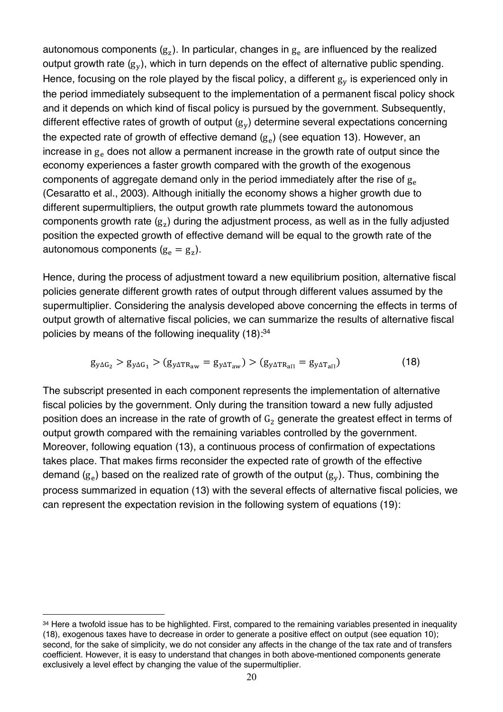autonomous components  $(g_z)$ . In particular, changes in  $g_e$  are influenced by the realized output growth rate  $(g_v)$ , which in turn depends on the effect of alternative public spending. Hence, focusing on the role played by the fiscal policy, a different  $g_V$  is experienced only in the period immediately subsequent to the implementation of a permanent fiscal policy shock and it depends on which kind of fiscal policy is pursued by the government. Subsequently, different effective rates of growth of output  $(g_v)$  determine several expectations concerning the expected rate of growth of effective demand  $(g_e)$  (see equation 13). However, an increase in  $g<sub>e</sub>$  does not allow a permanent increase in the growth rate of output since the economy experiences a faster growth compared with the growth of the exogenous components of aggregate demand only in the period immediately after the rise of  $g_{\rm e}$ (Cesaratto et al., 2003). Although initially the economy shows a higher growth due to different supermultipliers, the output growth rate plummets toward the autonomous components growth rate  $(g_z)$  during the adjustment process, as well as in the fully adjusted position the expected growth of effective demand will be equal to the growth rate of the autonomous components  $(g_e = g_z)$ .

Hence, during the process of adjustment toward a new equilibrium position, alternative fiscal policies generate different growth rates of output through different values assumed by the supermultiplier. Considering the analysis developed above concerning the effects in terms of output growth of alternative fiscal policies, we can summarize the results of alternative fiscal policies by means of the following inequality (18):<sup>34</sup>

$$
g_{y\Delta G_2} > g_{y\Delta G_1} > (g_{y\Delta TR_{aw}} = g_{y\Delta T_{aw}}) > (g_{y\Delta TR_{aII}} = g_{y\Delta T_{aII}})
$$
(18)

The subscript presented in each component represents the implementation of alternative fiscal policies by the government. Only during the transition toward a new fully adjusted position does an increase in the rate of growth of  $G<sub>2</sub>$  generate the greatest effect in terms of output growth compared with the remaining variables controlled by the government. Moreover, following equation (13), a continuous process of confirmation of expectations takes place. That makes firms reconsider the expected rate of growth of the effective demand  $(g_e)$  based on the realized rate of growth of the output  $(g_v)$ . Thus, combining the process summarized in equation (13) with the several effects of alternative fiscal policies, we can represent the expectation revision in the following system of equations (19):

<sup>&</sup>lt;sup>34</sup> Here a twofold issue has to be highlighted. First, compared to the remaining variables presented in inequality (18), exogenous taxes have to decrease in order to generate a positive effect on output (see equation 10); second, for the sake of simplicity, we do not consider any affects in the change of the tax rate and of transfers coefficient. However, it is easy to understand that changes in both above-mentioned components generate exclusively a level effect by changing the value of the supermultiplier.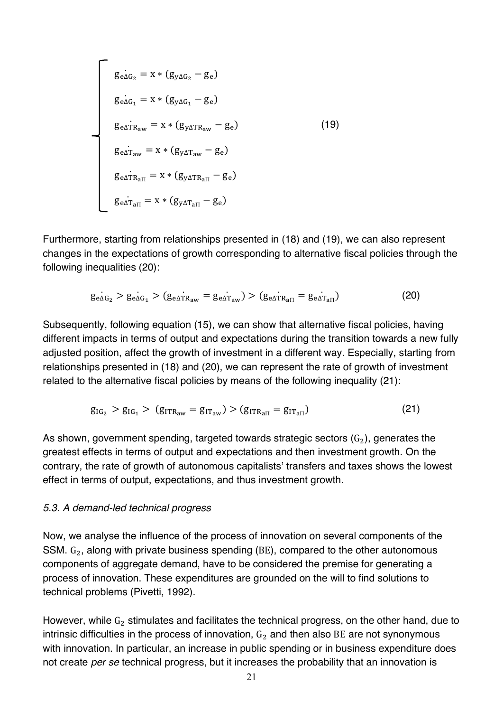$$
g_{e\Delta G_2} = x * (g_{y\Delta G_2} - g_e)
$$
  
\n
$$
g_{e\Delta G_1} = x * (g_{y\Delta G_1} - g_e)
$$
  
\n
$$
g_{e\Delta T R_{aw}} = x * (g_{y\Delta T R_{aw}} - g_e)
$$
  
\n
$$
g_{e\Delta T_{aw}} = x * (g_{y\Delta T_{aw}} - g_e)
$$
  
\n
$$
g_{e\Delta T_{a\Pi}} = x * (g_{y\Delta T_{a\Pi}} - g_e)
$$
  
\n
$$
g_{e\Delta T_{a\Pi}} = x * (g_{y\Delta T_{a\Pi}} - g_e)
$$
  
\n(19)

Furthermore, starting from relationships presented in (18) and (19), we can also represent changes in the expectations of growth corresponding to alternative fiscal policies through the following inequalities (20):

$$
\dot{g_{e\Delta G_2}} > g_{e\Delta G_1} > (g_{e\Delta T R_{aw}} = g_{e\Delta T_{aw}}) > (g_{e\Delta T R_{a\Pi}} = g_{e\Delta T_{a\Pi}})
$$
(20)

Subsequently, following equation (15), we can show that alternative fiscal policies, having different impacts in terms of output and expectations during the transition towards a new fully adjusted position, affect the growth of investment in a different way. Especially, starting from relationships presented in (18) and (20), we can represent the rate of growth of investment related to the alternative fiscal policies by means of the following inequality (21):

$$
g_{IG_2} > g_{IG_1} > (g_{ITR_{aw}} = g_{IT_{aw}}) > (g_{ITR_{aII}} = g_{IT_{aII}})
$$
\n(21)

As shown, government spending, targeted towards strategic sectors  $(G_2)$ , generates the greatest effects in terms of output and expectations and then investment growth. On the contrary, the rate of growth of autonomous capitalists' transfers and taxes shows the lowest effect in terms of output, expectations, and thus investment growth.

#### *5.3. A demand-led technical progress*

Now, we analyse the influence of the process of innovation on several components of the SSM.  $G_2$ , along with private business spending (BE), compared to the other autonomous components of aggregate demand, have to be considered the premise for generating a process of innovation. These expenditures are grounded on the will to find solutions to technical problems (Pivetti, 1992).

However, while  $G_2$  stimulates and facilitates the technical progress, on the other hand, due to intrinsic difficulties in the process of innovation,  $G_2$  and then also BE are not synonymous with innovation. In particular, an increase in public spending or in business expenditure does not create *per se* technical progress, but it increases the probability that an innovation is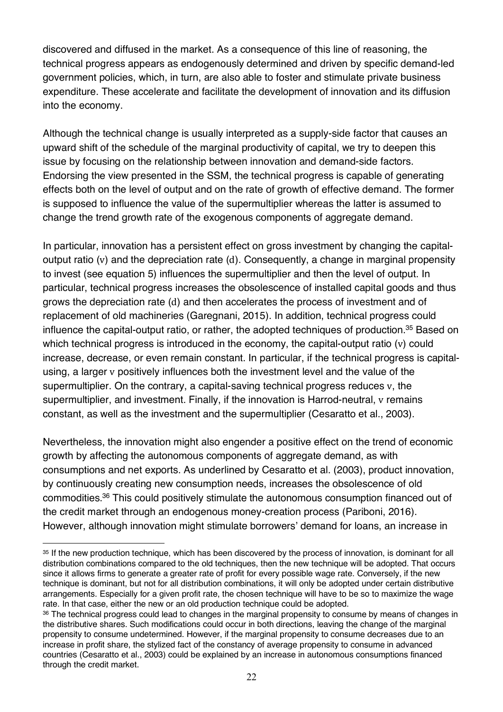discovered and diffused in the market. As a consequence of this line of reasoning, the technical progress appears as endogenously determined and driven by specific demand-led government policies, which, in turn, are also able to foster and stimulate private business expenditure. These accelerate and facilitate the development of innovation and its diffusion into the economy.

Although the technical change is usually interpreted as a supply-side factor that causes an upward shift of the schedule of the marginal productivity of capital, we try to deepen this issue by focusing on the relationship between innovation and demand-side factors. Endorsing the view presented in the SSM, the technical progress is capable of generating effects both on the level of output and on the rate of growth of effective demand. The former is supposed to influence the value of the supermultiplier whereas the latter is assumed to change the trend growth rate of the exogenous components of aggregate demand.

In particular, innovation has a persistent effect on gross investment by changing the capitaloutput ratio (v) and the depreciation rate (d). Consequently, a change in marginal propensity to invest (see equation 5) influences the supermultiplier and then the level of output. In particular, technical progress increases the obsolescence of installed capital goods and thus grows the depreciation rate (d) and then accelerates the process of investment and of replacement of old machineries (Garegnani, 2015). In addition, technical progress could influence the capital-output ratio, or rather, the adopted techniques of production.<sup>35</sup> Based on which technical progress is introduced in the economy, the capital-output ratio (v) could increase, decrease, or even remain constant. In particular, if the technical progress is capitalusing, a larger v positively influences both the investment level and the value of the supermultiplier. On the contrary, a capital-saving technical progress reduces v, the supermultiplier, and investment. Finally, if the innovation is Harrod-neutral, v remains constant, as well as the investment and the supermultiplier (Cesaratto et al., 2003).

Nevertheless, the innovation might also engender a positive effect on the trend of economic growth by affecting the autonomous components of aggregate demand, as with consumptions and net exports. As underlined by Cesaratto et al. (2003), product innovation, by continuously creating new consumption needs, increases the obsolescence of old commodities.36 This could positively stimulate the autonomous consumption financed out of the credit market through an endogenous money-creation process (Pariboni, 2016). However, although innovation might stimulate borrowers' demand for loans, an increase in

<sup>1</sup> <sup>35</sup> If the new production technique, which has been discovered by the process of innovation, is dominant for all distribution combinations compared to the old techniques, then the new technique will be adopted. That occurs since it allows firms to generate a greater rate of profit for every possible wage rate. Conversely, if the new technique is dominant, but not for all distribution combinations, it will only be adopted under certain distributive arrangements. Especially for a given profit rate, the chosen technique will have to be so to maximize the wage rate. In that case, either the new or an old production technique could be adopted.

<sup>36</sup> The technical progress could lead to changes in the marginal propensity to consume by means of changes in the distributive shares. Such modifications could occur in both directions, leaving the change of the marginal propensity to consume undetermined. However, if the marginal propensity to consume decreases due to an increase in profit share, the stylized fact of the constancy of average propensity to consume in advanced countries (Cesaratto et al., 2003) could be explained by an increase in autonomous consumptions financed through the credit market.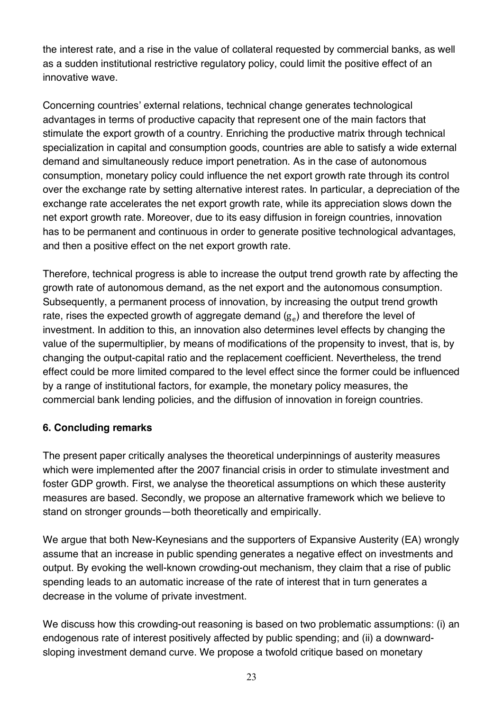the interest rate, and a rise in the value of collateral requested by commercial banks, as well as a sudden institutional restrictive regulatory policy, could limit the positive effect of an innovative wave.

Concerning countries' external relations, technical change generates technological advantages in terms of productive capacity that represent one of the main factors that stimulate the export growth of a country. Enriching the productive matrix through technical specialization in capital and consumption goods, countries are able to satisfy a wide external demand and simultaneously reduce import penetration. As in the case of autonomous consumption, monetary policy could influence the net export growth rate through its control over the exchange rate by setting alternative interest rates. In particular, a depreciation of the exchange rate accelerates the net export growth rate, while its appreciation slows down the net export growth rate. Moreover, due to its easy diffusion in foreign countries, innovation has to be permanent and continuous in order to generate positive technological advantages, and then a positive effect on the net export growth rate.

Therefore, technical progress is able to increase the output trend growth rate by affecting the growth rate of autonomous demand, as the net export and the autonomous consumption. Subsequently, a permanent process of innovation, by increasing the output trend growth rate, rises the expected growth of aggregate demand  $(g<sub>e</sub>)$  and therefore the level of investment. In addition to this, an innovation also determines level effects by changing the value of the supermultiplier, by means of modifications of the propensity to invest, that is, by changing the output-capital ratio and the replacement coefficient. Nevertheless, the trend effect could be more limited compared to the level effect since the former could be influenced by a range of institutional factors, for example, the monetary policy measures, the commercial bank lending policies, and the diffusion of innovation in foreign countries.

# **6. Concluding remarks**

The present paper critically analyses the theoretical underpinnings of austerity measures which were implemented after the 2007 financial crisis in order to stimulate investment and foster GDP growth. First, we analyse the theoretical assumptions on which these austerity measures are based. Secondly, we propose an alternative framework which we believe to stand on stronger grounds—both theoretically and empirically.

We argue that both New-Keynesians and the supporters of Expansive Austerity (EA) wrongly assume that an increase in public spending generates a negative effect on investments and output. By evoking the well-known crowding-out mechanism, they claim that a rise of public spending leads to an automatic increase of the rate of interest that in turn generates a decrease in the volume of private investment.

We discuss how this crowding-out reasoning is based on two problematic assumptions: (i) an endogenous rate of interest positively affected by public spending; and (ii) a downwardsloping investment demand curve. We propose a twofold critique based on monetary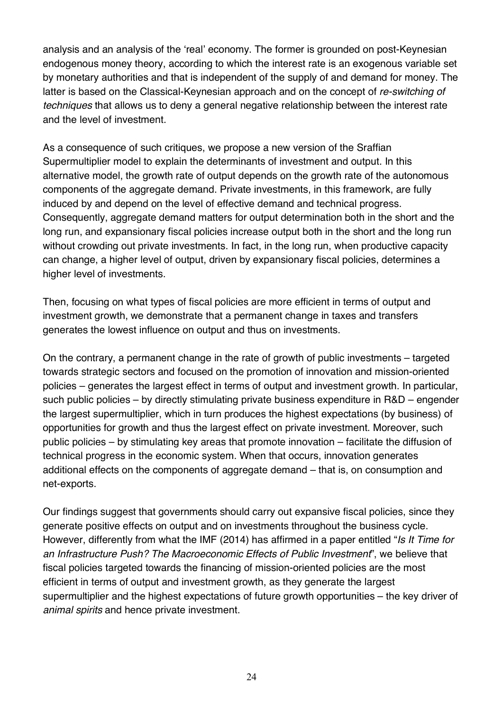analysis and an analysis of the 'real' economy. The former is grounded on post-Keynesian endogenous money theory, according to which the interest rate is an exogenous variable set by monetary authorities and that is independent of the supply of and demand for money. The latter is based on the Classical-Keynesian approach and on the concept of *re-switching of techniques* that allows us to deny a general negative relationship between the interest rate and the level of investment.

As a consequence of such critiques, we propose a new version of the Sraffian Supermultiplier model to explain the determinants of investment and output. In this alternative model, the growth rate of output depends on the growth rate of the autonomous components of the aggregate demand. Private investments, in this framework, are fully induced by and depend on the level of effective demand and technical progress. Consequently, aggregate demand matters for output determination both in the short and the long run, and expansionary fiscal policies increase output both in the short and the long run without crowding out private investments. In fact, in the long run, when productive capacity can change, a higher level of output, driven by expansionary fiscal policies, determines a higher level of investments.

Then, focusing on what types of fiscal policies are more efficient in terms of output and investment growth, we demonstrate that a permanent change in taxes and transfers generates the lowest influence on output and thus on investments.

On the contrary, a permanent change in the rate of growth of public investments – targeted towards strategic sectors and focused on the promotion of innovation and mission-oriented policies – generates the largest effect in terms of output and investment growth. In particular, such public policies – by directly stimulating private business expenditure in R&D – engender the largest supermultiplier, which in turn produces the highest expectations (by business) of opportunities for growth and thus the largest effect on private investment. Moreover, such public policies – by stimulating key areas that promote innovation – facilitate the diffusion of technical progress in the economic system. When that occurs, innovation generates additional effects on the components of aggregate demand – that is, on consumption and net-exports.

Our findings suggest that governments should carry out expansive fiscal policies, since they generate positive effects on output and on investments throughout the business cycle. However, differently from what the IMF (2014) has affirmed in a paper entitled "*Is It Time for an Infrastructure Push? The Macroeconomic Effects of Public Investment*", we believe that fiscal policies targeted towards the financing of mission-oriented policies are the most efficient in terms of output and investment growth, as they generate the largest supermultiplier and the highest expectations of future growth opportunities – the key driver of *animal spirits* and hence private investment.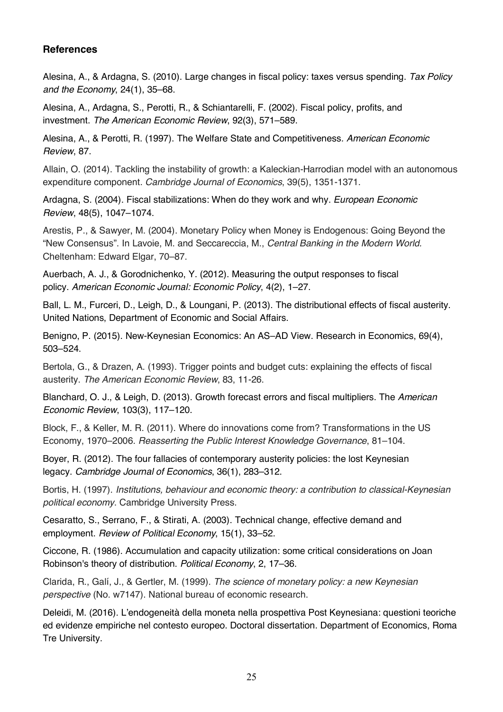#### **References**

Alesina, A., & Ardagna, S. (2010). Large changes in fiscal policy: taxes versus spending. *Tax Policy and the Economy*, 24(1), 35–68.

Alesina, A., Ardagna, S., Perotti, R., & Schiantarelli, F. (2002). Fiscal policy, profits, and investment. *The American Economic Review*, 92(3), 571–589.

Alesina, A., & Perotti, R. (1997). The Welfare State and Competitiveness*. American Economic Review*, 87.

Allain, O. (2014). Tackling the instability of growth: a Kaleckian-Harrodian model with an autonomous expenditure component. *Cambridge Journal of Economics*, 39(5), 1351-1371.

Ardagna, S. (2004). Fiscal stabilizations: When do they work and why. *European Economic Review*, 48(5), 1047–1074.

Arestis, P., & Sawyer, M. (2004). Monetary Policy when Money is Endogenous: Going Beyond the "New Consensus". In Lavoie, M. and Seccareccia, M., *Central Banking in the Modern World.*  Cheltenham: Edward Elgar, 70–87.

Auerbach, A. J., & Gorodnichenko, Y. (2012). Measuring the output responses to fiscal policy. *American Economic Journal: Economic Policy*, 4(2), 1–27.

Ball, L. M., Furceri, D., Leigh, D., & Loungani, P. (2013). The distributional effects of fiscal austerity. United Nations, Department of Economic and Social Affairs.

Benigno, P. (2015). New-Keynesian Economics: An AS–AD View. Research in Economics, 69(4), 503–524.

Bertola, G., & Drazen, A. (1993). Trigger points and budget cuts: explaining the effects of fiscal austerity. *The American Economic Review*, 83, 11-26.

Blanchard, O. J., & Leigh, D. (2013). Growth forecast errors and fiscal multipliers. The *American Economic Review*, 103(3), 117–120.

Block, F., & Keller, M. R. (2011). Where do innovations come from? Transformations in the US Economy, 1970–2006. *Reasserting the Public Interest Knowledge Governance*, 81–104.

Boyer, R. (2012). The four fallacies of contemporary austerity policies: the lost Keynesian legacy. *Cambridge Journal of Economics*, 36(1), 283–312.

Bortis, H. (1997). *Institutions, behaviour and economic theory: a contribution to classical-Keynesian political economy*. Cambridge University Press.

Cesaratto, S., Serrano, F., & Stirati, A. (2003). Technical change, effective demand and employment. *Review of Political Economy*, 15(1), 33–52.

Ciccone, R. (1986). Accumulation and capacity utilization: some critical considerations on Joan Robinson's theory of distribution. *Political Economy*, 2, 17–36.

Clarida, R., Galí, J., & Gertler, M. (1999). *The science of monetary policy: a new Keynesian perspective* (No. w7147). National bureau of economic research.

Deleidi, M. (2016). L'endogeneità della moneta nella prospettiva Post Keynesiana: questioni teoriche ed evidenze empiriche nel contesto europeo. Doctoral dissertation. Department of Economics, Roma Tre University.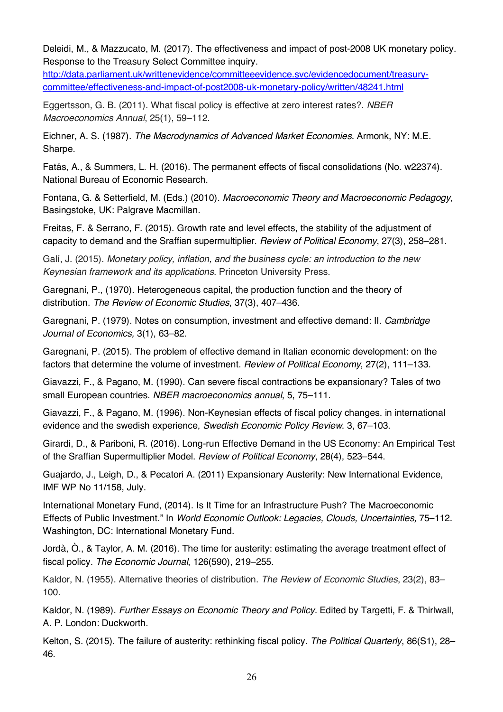Deleidi, M., & Mazzucato, M. (2017). The effectiveness and impact of post-2008 UK monetary policy. Response to the Treasury Select Committee inquiry.

http://data.parliament.uk/writtenevidence/committeeevidence.svc/evidencedocument/treasurycommittee/effectiveness-and-impact-of-post2008-uk-monetary-policy/written/48241.html

Eggertsson, G. B. (2011). What fiscal policy is effective at zero interest rates?. *NBER Macroeconomics Annual*, 25(1), 59–112.

Eichner, A. S. (1987). *The Macrodynamics of Advanced Market Economies*. Armonk, NY: M.E. Sharpe.

Fatás, A., & Summers, L. H. (2016). The permanent effects of fiscal consolidations (No. w22374). National Bureau of Economic Research.

Fontana, G. & Setterfield, M. (Eds.) (2010). *Macroeconomic Theory and Macroeconomic Pedagogy*, Basingstoke, UK: Palgrave Macmillan.

Freitas, F. & Serrano, F. (2015). Growth rate and level effects, the stability of the adjustment of capacity to demand and the Sraffian supermultiplier. *Review of Political Economy*, 27(3), 258–281.

Galí, J. (2015). *Monetary policy, inflation, and the business cycle: an introduction to the new Keynesian framework and its applications*. Princeton University Press.

Garegnani, P., (1970). Heterogeneous capital, the production function and the theory of distribution. *The Review of Economic Studies*, 37(3), 407–436.

Garegnani, P. (1979). Notes on consumption, investment and effective demand: II. *Cambridge Journal of Economics,* 3(1), 63–82.

Garegnani, P. (2015). The problem of effective demand in Italian economic development: on the factors that determine the volume of investment. *Review of Political Economy*, 27(2), 111–133.

Giavazzi, F., & Pagano, M. (1990). Can severe fiscal contractions be expansionary? Tales of two small European countries. *NBER macroeconomics annual*, 5, 75–111.

Giavazzi, F., & Pagano, M. (1996). Non-Keynesian effects of fiscal policy changes. in international evidence and the swedish experience, *Swedish Economic Policy Review*. 3, 67–103.

Girardi, D., & Pariboni, R. (2016). Long-run Effective Demand in the US Economy: An Empirical Test of the Sraffian Supermultiplier Model. *Review of Political Economy*, 28(4), 523–544.

Guajardo, J., Leigh, D., & Pecatori A. (2011) Expansionary Austerity: New International Evidence, IMF WP No 11/158, July.

International Monetary Fund, (2014). Is It Time for an Infrastructure Push? The Macroeconomic Effects of Public Investment." In *World Economic Outlook: Legacies, Clouds, Uncertainties,* 75–112. Washington, DC: International Monetary Fund.

Jordà, Ò., & Taylor, A. M. (2016). The time for austerity: estimating the average treatment effect of fiscal policy. *The Economic Journal*, 126(590), 219–255.

Kaldor, N. (1955). Alternative theories of distribution. *The Review of Economic Studies*, 23(2), 83– 100.

Kaldor, N. (1989). *Further Essays on Economic Theory and Policy.* Edited by Targetti, F. & Thirlwall, A. P. London: Duckworth.

Kelton, S. (2015). The failure of austerity: rethinking fiscal policy. *The Political Quarterly*, 86(S1), 28– 46.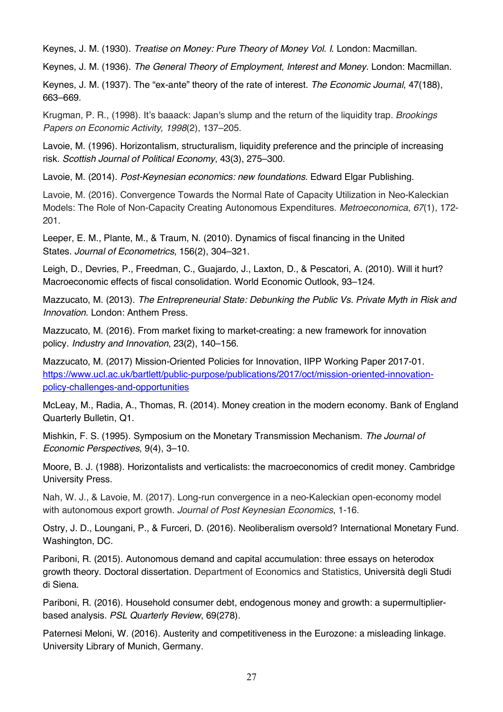Keynes, J. M. (1930). *Treatise on Money: Pure Theory of Money Vol. I*. London: Macmillan.

Keynes, J. M. (1936). *The General Theory of Employment, Interest and Money*. London: Macmillan.

Keynes, J. M. (1937). The "ex-ante" theory of the rate of interest. *The Economic Journal*, 47(188), 663–669.

Krugman, P. R., (1998). It's baaack: Japan's slump and the return of the liquidity trap. *Brookings Papers on Economic Activity*, *1998*(2), 137–205.

Lavoie, M. (1996). Horizontalism, structuralism, liquidity preference and the principle of increasing risk. *Scottish Journal of Political Economy*, 43(3), 275–300.

Lavoie, M. (2014). *Post-Keynesian economics: new foundations*. Edward Elgar Publishing.

Lavoie, M. (2016). Convergence Towards the Normal Rate of Capacity Utilization in Neo-Kaleckian Models: The Role of Non‐Capacity Creating Autonomous Expenditures. *Metroeconomica*, *67*(1), 172- 201.

Leeper, E. M., Plante, M., & Traum, N. (2010). Dynamics of fiscal financing in the United States. *Journal of Econometrics*, 156(2), 304–321.

Leigh, D., Devries, P., Freedman, C., Guajardo, J., Laxton, D., & Pescatori, A. (2010). Will it hurt? Macroeconomic effects of fiscal consolidation. World Economic Outlook, 93–124.

Mazzucato, M. (2013). *The Entrepreneurial State: Debunking the Public Vs. Private Myth in Risk and Innovation*. London: Anthem Press.

Mazzucato, M. (2016). From market fixing to market-creating: a new framework for innovation policy. *Industry and Innovation*, 23(2), 140–156.

Mazzucato, M. (2017) Mission-Oriented Policies for Innovation, IIPP Working Paper 2017-01. https://www.ucl.ac.uk/bartlett/public-purpose/publications/2017/oct/mission-oriented-innovationpolicy-challenges-and-opportunities

McLeay, M., Radia, A., Thomas, R. (2014). Money creation in the modern economy. Bank of England Quarterly Bulletin, Q1.

Mishkin, F. S. (1995). Symposium on the Monetary Transmission Mechanism. *The Journal of Economic Perspectives*, 9(4), 3–10.

Moore, B. J. (1988). Horizontalists and verticalists: the macroeconomics of credit money. Cambridge University Press.

Nah, W. J., & Lavoie, M. (2017). Long-run convergence in a neo-Kaleckian open-economy model with autonomous export growth. *Journal of Post Keynesian Economics*, 1-16.

Ostry, J. D., Loungani, P., & Furceri, D. (2016). Neoliberalism oversold? International Monetary Fund. Washington, DC.

Pariboni, R. (2015). Autonomous demand and capital accumulation: three essays on heterodox growth theory. Doctoral dissertation. Department of Economics and Statistics, Università degli Studi di Siena.

Pariboni, R. (2016). Household consumer debt, endogenous money and growth: a supermultiplierbased analysis. *PSL Quarterly Review*, 69(278).

Paternesi Meloni, W. (2016). Austerity and competitiveness in the Eurozone: a misleading linkage. University Library of Munich, Germany.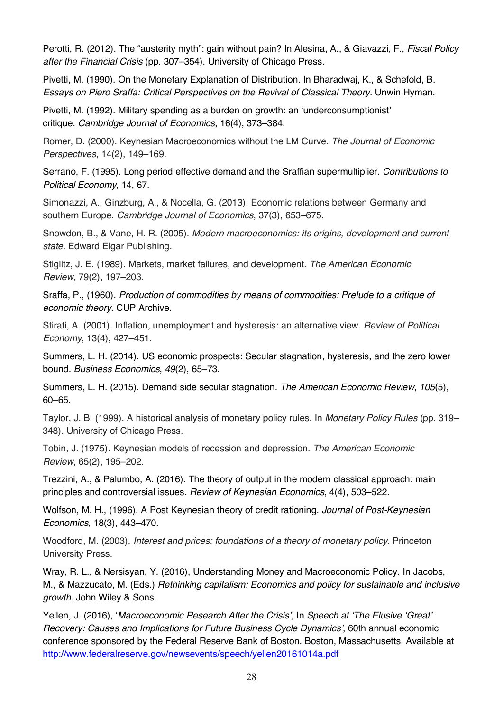Perotti, R. (2012). The "austerity myth": gain without pain? In Alesina, A., & Giavazzi, F., *Fiscal Policy after the Financial Crisis* (pp. 307–354). University of Chicago Press.

Pivetti, M. (1990). On the Monetary Explanation of Distribution. In Bharadwaj, K., & Schefold, B. *Essays on Piero Sraffa: Critical Perspectives on the Revival of Classical Theory*. Unwin Hyman.

Pivetti, M. (1992). Military spending as a burden on growth: an 'underconsumptionist' critique. *Cambridge Journal of Economics*, 16(4), 373–384.

Romer, D. (2000). Keynesian Macroeconomics without the LM Curve. *The Journal of Economic Perspectives*, 14(2), 149–169.

Serrano, F. (1995). Long period effective demand and the Sraffian supermultiplier. *Contributions to Political Economy*, 14, 67.

Simonazzi, A., Ginzburg, A., & Nocella, G. (2013). Economic relations between Germany and southern Europe. *Cambridge Journal of Economics*, 37(3), 653–675.

Snowdon, B., & Vane, H. R. (2005). *Modern macroeconomics: its origins, development and current state*. Edward Elgar Publishing.

Stiglitz, J. E. (1989). Markets, market failures, and development. *The American Economic Review*, 79(2), 197–203.

Sraffa, P., (1960). *Production of commodities by means of commodities: Prelude to a critique of economic theory*. CUP Archive.

Stirati, A. (2001). Inflation, unemployment and hysteresis: an alternative view. *Review of Political Economy*, 13(4), 427–451.

Summers, L. H. (2014). US economic prospects: Secular stagnation, hysteresis, and the zero lower bound. *Business Economics*, *49*(2), 65–73.

Summers, L. H. (2015). Demand side secular stagnation. *The American Economic Review*, *105*(5), 60–65.

Taylor, J. B. (1999). A historical analysis of monetary policy rules. In *Monetary Policy Rules* (pp. 319– 348). University of Chicago Press.

Tobin, J. (1975). Keynesian models of recession and depression. *The American Economic Review*, 65(2), 195–202.

Trezzini, A., & Palumbo, A. (2016). The theory of output in the modern classical approach: main principles and controversial issues. *Review of Keynesian Economics*, 4(4), 503–522.

Wolfson, M. H., (1996). A Post Keynesian theory of credit rationing. *Journal of Post-Keynesian Economics*, 18(3), 443–470.

Woodford, M. (2003). *Interest and prices: foundations of a theory of monetary policy*. Princeton University Press.

Wray, R. L., & Nersisyan, Y. (2016), Understanding Money and Macroeconomic Policy. In Jacobs, M., & Mazzucato, M. (Eds.) *Rethinking capitalism: Economics and policy for sustainable and inclusive growth*. John Wiley & Sons.

Yellen, J. (2016), '*Macroeconomic Research After the Crisis'*, In *Speech at 'The Elusive 'Great' Recovery: Causes and Implications for Future Business Cycle Dynamics'*, 60th annual economic conference sponsored by the Federal Reserve Bank of Boston. Boston, Massachusetts. Available at http://www.federalreserve.gov/newsevents/speech/yellen20161014a.pdf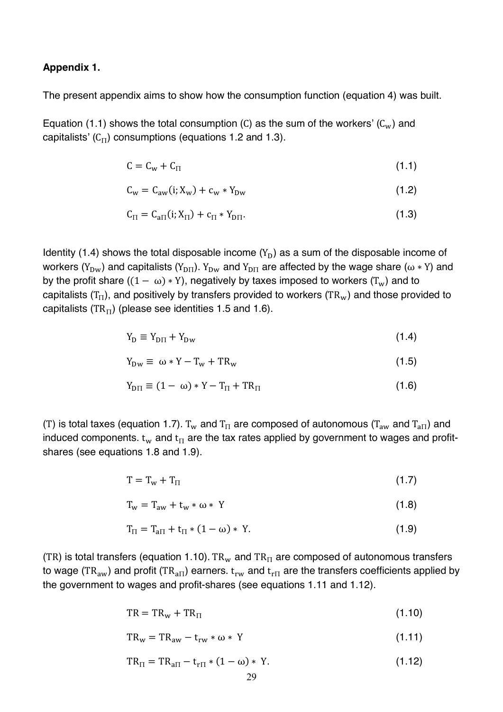#### **Appendix 1.**

The present appendix aims to show how the consumption function (equation 4) was built.

Equation (1.1) shows the total consumption (C) as the sum of the workers' ( $C_w$ ) and capitalists' ( $C_{\Pi}$ ) consumptions (equations 1.2 and 1.3).

$$
C = Cw + CII
$$
 (1.1)

$$
C_w = C_{aw}(i; X_w) + c_w * Y_{Dw}
$$
 (1.2)

$$
C_{\Pi} = C_{a\Pi}(i; X_{\Pi}) + c_{\Pi} * Y_{D\Pi}.
$$
 (1.3)

Identity (1.4) shows the total disposable income  $(Y_D)$  as a sum of the disposable income of workers ( $Y_{DW}$ ) and capitalists ( $Y_{DIT}$ ).  $Y_{DW}$  and  $Y_{DIT}$  are affected by the wage share ( $\omega * Y$ ) and by the profit share  $((1 - \omega) * Y)$ , negatively by taxes imposed to workers  $(T_w)$  and to capitalists ( $T_{\Pi}$ ), and positively by transfers provided to workers (TR<sub>w</sub>) and those provided to capitalists (TR $_{\text{II}}$ ) (please see identities 1.5 and 1.6).

$$
Y_D \equiv Y_{DII} + Y_{Dw} \tag{1.4}
$$

$$
Y_{\text{Dw}} \equiv \omega * Y - T_{\text{w}} + TR_{\text{w}} \tag{1.5}
$$

$$
Y_{\text{DT}} \equiv (1 - \omega) * Y - T_{\text{II}} + TR_{\text{II}} \tag{1.6}
$$

(T) is total taxes (equation 1.7).  $T_w$  and  $T_H$  are composed of autonomous ( $T_{aw}$  and  $T_{aH}$ ) and induced components.  $t_w$  and  $t_H$  are the tax rates applied by government to wages and profitshares (see equations 1.8 and 1.9).

$$
T = T_w + T_{\Pi} \tag{1.7}
$$

$$
T_w = T_{aw} + t_w * \omega * Y \tag{1.8}
$$

$$
T_{\Pi} = T_{a\Pi} + t_{\Pi} * (1 - \omega) * Y.
$$
 (1.9)

(TR) is total transfers (equation 1.10). TR<sub>w</sub> and TR<sub>II</sub> are composed of autonomous transfers to wage (TR<sub>aw</sub>) and profit (TR<sub>aII</sub>) earners.  $t_{rw}$  and  $t_{rI}$  are the transfers coefficients applied by the government to wages and profit-shares (see equations 1.11 and 1.12).

$$
TR = TRw + TRII
$$
 (1.10)

$$
TR_w = TR_{aw} - t_{rw} * \omega * Y \qquad (1.11)
$$

$$
TR_{\Pi} = TR_{a\Pi} - t_{r\Pi} * (1 - \omega) * Y.
$$
 (1.12)